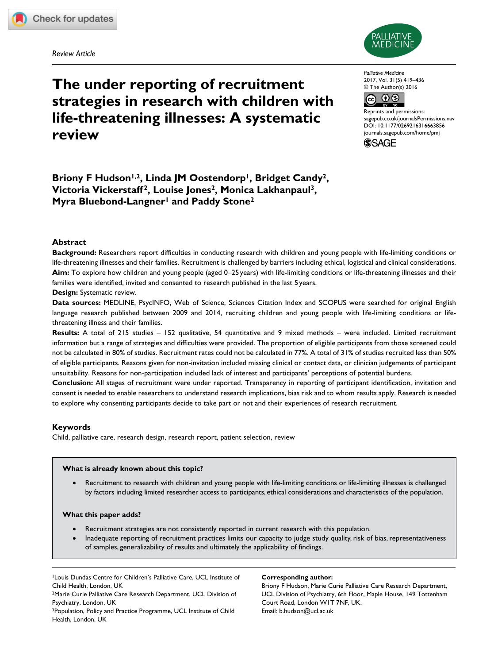*Review Article*

**review**



*Palliative Medicine* 2017, Vol. 31(5) 419–436 © The Author(s) 2016



Reprints and permissions: [sagepub.co.uk/journalsPermissions.nav](http://sagepub.co.uk/journalsPermissions.nav) DOI: [10.1177/0269216316663856](http://doi.org/10.1177/0269216316663856) [journals.sagepub.com/home/pmj](http://journals.sagepub.com/home/pm)



Briony F Hudson<sup>1,2</sup>, Linda JM Oostendorp<sup>1</sup>, Bridget Candy<sup>2</sup>, **Victoria Vickerstaff 2, Louise Jones2, Monica Lakhanpaul3, Myra Bluebond-Langner1 and Paddy Stone2**

**The under reporting of recruitment** 

**strategies in research with children with** 

**life-threatening illnesses: A systematic** 

### **Abstract**

**Background:** Researchers report difficulties in conducting research with children and young people with life-limiting conditions or life-threatening illnesses and their families. Recruitment is challenged by barriers including ethical, logistical and clinical considerations. **Aim:** To explore how children and young people (aged 0–25 years) with life-limiting conditions or life-threatening illnesses and their families were identified, invited and consented to research published in the last 5years.

### **Design:** Systematic review.

**Data sources:** MEDLINE, PsycINFO, Web of Science, Sciences Citation Index and SCOPUS were searched for original English language research published between 2009 and 2014, recruiting children and young people with life-limiting conditions or lifethreatening illness and their families.

**Results:** A total of 215 studies – 152 qualitative, 54 quantitative and 9 mixed methods – were included. Limited recruitment information but a range of strategies and difficulties were provided. The proportion of eligible participants from those screened could not be calculated in 80% of studies. Recruitment rates could not be calculated in 77%. A total of 31% of studies recruited less than 50% of eligible participants. Reasons given for non-invitation included missing clinical or contact data, or clinician judgements of participant unsuitability. Reasons for non-participation included lack of interest and participants' perceptions of potential burdens.

**Conclusion:** All stages of recruitment were under reported. Transparency in reporting of participant identification, invitation and consent is needed to enable researchers to understand research implications, bias risk and to whom results apply. Research is needed to explore why consenting participants decide to take part or not and their experiences of research recruitment.

### **Keywords**

Child, palliative care, research design, research report, patient selection, review

### **What is already known about this topic?**

• Recruitment to research with children and young people with life-limiting conditions or life-limiting illnesses is challenged by factors including limited researcher access to participants, ethical considerations and characteristics of the population.

#### **What this paper adds?**

- Recruitment strategies are not consistently reported in current research with this population.
- Inadequate reporting of recruitment practices limits our capacity to judge study quality, risk of bias, representativeness of samples, generalizability of results and ultimately the applicability of findings.

## 2Marie Curie Palliative Care Research Department, UCL Division of Psychiatry, London, UK

### <sup>3</sup>Population, Policy and Practice Programme, UCL Institute of Child Health, London, UK

### **Corresponding author:**

Briony F Hudson, Marie Curie Palliative Care Research Department, UCL Division of Psychiatry, 6th Floor, Maple House, 149 Tottenham Court Road, London W1T 7NF, UK. Email: [b.hudson@ucl.ac.uk](mailto:b.hudson@ucl.ac.uk)

<sup>1</sup>Louis Dundas Centre for Children's Palliative Care, UCL Institute of Child Health, London, UK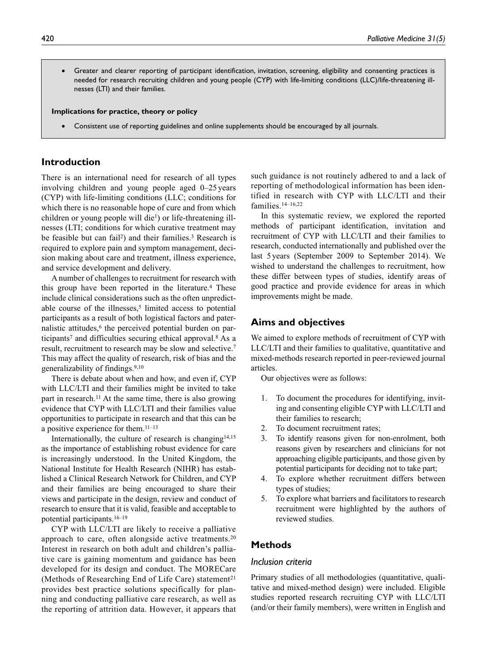• Greater and clearer reporting of participant identification, invitation, screening, eligibility and consenting practices is needed for research recruiting children and young people (CYP) with life-limiting conditions (LLC)/life-threatening illnesses (LTI) and their families.

#### **Implications for practice, theory or policy**

• Consistent use of reporting guidelines and online supplements should be encouraged by all journals.

## **Introduction**

There is an international need for research of all types involving children and young people aged 0–25 years (CYP) with life-limiting conditions (LLC; conditions for which there is no reasonable hope of cure and from which children or young people will die<sup>1</sup>) or life-threatening illnesses (LTI; conditions for which curative treatment may be feasible but can fail<sup>2</sup>) and their families.<sup>3</sup> Research is required to explore pain and symptom management, decision making about care and treatment, illness experience, and service development and delivery.

A number of challenges to recruitment for research with this group have been reported in the literature.4 These include clinical considerations such as the often unpredictable course of the illnesses, $5$  limited access to potential participants as a result of both logistical factors and paternalistic attitudes,<sup>6</sup> the perceived potential burden on participants7 and difficulties securing ethical approval.8 As a result, recruitment to research may be slow and selective.7 This may affect the quality of research, risk of bias and the generalizability of findings.9,10

There is debate about when and how, and even if, CYP with LLC/LTI and their families might be invited to take part in research.11 At the same time, there is also growing evidence that CYP with LLC/LTI and their families value opportunities to participate in research and that this can be a positive experience for them.11–13

Internationally, the culture of research is changing $14,15$ as the importance of establishing robust evidence for care is increasingly understood. In the United Kingdom, the National Institute for Health Research (NIHR) has established a Clinical Research Network for Children, and CYP and their families are being encouraged to share their views and participate in the design, review and conduct of research to ensure that it is valid, feasible and acceptable to potential participants.16–19

CYP with LLC/LTI are likely to receive a palliative approach to care, often alongside active treatments.<sup>20</sup> Interest in research on both adult and children's palliative care is gaining momentum and guidance has been developed for its design and conduct. The MORECare (Methods of Researching End of Life Care) statement<sup>21</sup> provides best practice solutions specifically for planning and conducting palliative care research, as well as the reporting of attrition data. However, it appears that such guidance is not routinely adhered to and a lack of reporting of methodological information has been identified in research with CYP with LLC/LTI and their families.14–16,22

In this systematic review, we explored the reported methods of participant identification, invitation and recruitment of CYP with LLC/LTI and their families to research, conducted internationally and published over the last 5 years (September 2009 to September 2014). We wished to understand the challenges to recruitment, how these differ between types of studies, identify areas of good practice and provide evidence for areas in which improvements might be made.

## **Aims and objectives**

We aimed to explore methods of recruitment of CYP with LLC/LTI and their families to qualitative, quantitative and mixed-methods research reported in peer-reviewed journal articles.

Our objectives were as follows:

- 1. To document the procedures for identifying, inviting and consenting eligible CYP with LLC/LTI and their families to research;
- 2. To document recruitment rates;
- 3. To identify reasons given for non-enrolment, both reasons given by researchers and clinicians for not approaching eligible participants, and those given by potential participants for deciding not to take part;
- 4. To explore whether recruitment differs between types of studies;
- 5. To explore what barriers and facilitators to research recruitment were highlighted by the authors of reviewed studies.

# **Methods**

### *Inclusion criteria*

Primary studies of all methodologies (quantitative, qualitative and mixed-method design) were included. Eligible studies reported research recruiting CYP with LLC/LTI (and/or their family members), were written in English and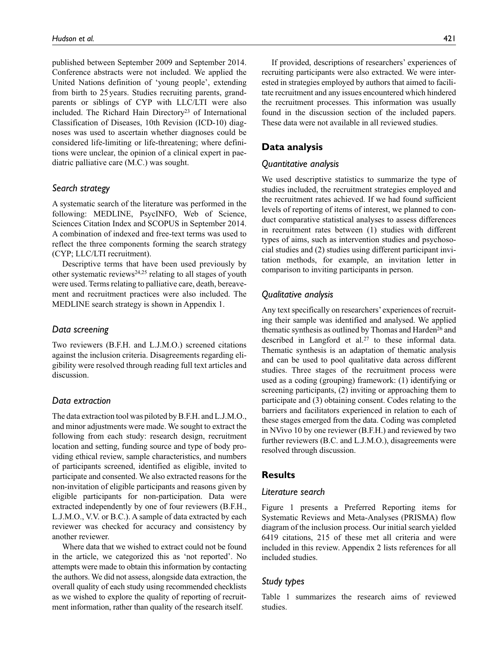published between September 2009 and September 2014. Conference abstracts were not included. We applied the United Nations definition of 'young people', extending from birth to 25years. Studies recruiting parents, grandparents or siblings of CYP with LLC/LTI were also included. The Richard Hain Directory<sup>23</sup> of International Classification of Diseases, 10th Revision (ICD-10) diagnoses was used to ascertain whether diagnoses could be considered life-limiting or life-threatening; where definitions were unclear, the opinion of a clinical expert in paediatric palliative care (M.C.) was sought.

## *Search strategy*

A systematic search of the literature was performed in the following: MEDLINE, PsycINFO, Web of Science, Sciences Citation Index and SCOPUS in September 2014. A combination of indexed and free-text terms was used to reflect the three components forming the search strategy (CYP; LLC/LTI recruitment).

Descriptive terms that have been used previously by other systematic reviews24,25 relating to all stages of youth were used. Terms relating to palliative care, death, bereavement and recruitment practices were also included. The MEDLINE search strategy is shown in Appendix 1.

### *Data screening*

Two reviewers (B.F.H. and L.J.M.O.) screened citations against the inclusion criteria. Disagreements regarding eligibility were resolved through reading full text articles and discussion.

### *Data extraction*

The data extraction tool was piloted by B.F.H. and L.J.M.O., and minor adjustments were made. We sought to extract the following from each study: research design, recruitment location and setting, funding source and type of body providing ethical review, sample characteristics, and numbers of participants screened, identified as eligible, invited to participate and consented. We also extracted reasons for the non-invitation of eligible participants and reasons given by eligible participants for non-participation. Data were extracted independently by one of four reviewers (B.F.H., L.J.M.O., V.V. or B.C.). A sample of data extracted by each reviewer was checked for accuracy and consistency by another reviewer.

Where data that we wished to extract could not be found in the article, we categorized this as 'not reported'. No attempts were made to obtain this information by contacting the authors. We did not assess, alongside data extraction, the overall quality of each study using recommended checklists as we wished to explore the quality of reporting of recruitment information, rather than quality of the research itself.

If provided, descriptions of researchers' experiences of recruiting participants were also extracted. We were interested in strategies employed by authors that aimed to facilitate recruitment and any issues encountered which hindered the recruitment processes. This information was usually found in the discussion section of the included papers. These data were not available in all reviewed studies.

# **Data analysis**

## *Quantitative analysis*

We used descriptive statistics to summarize the type of studies included, the recruitment strategies employed and the recruitment rates achieved. If we had found sufficient levels of reporting of items of interest, we planned to conduct comparative statistical analyses to assess differences in recruitment rates between (1) studies with different types of aims, such as intervention studies and psychosocial studies and (2) studies using different participant invitation methods, for example, an invitation letter in comparison to inviting participants in person.

## *Qualitative analysis*

Any text specifically on researchers' experiences of recruiting their sample was identified and analysed. We applied thematic synthesis as outlined by Thomas and Harden<sup>26</sup> and described in Langford et al.27 to these informal data. Thematic synthesis is an adaptation of thematic analysis and can be used to pool qualitative data across different studies. Three stages of the recruitment process were used as a coding (grouping) framework: (1) identifying or screening participants, (2) inviting or approaching them to participate and (3) obtaining consent. Codes relating to the barriers and facilitators experienced in relation to each of these stages emerged from the data. Coding was completed in NVivo 10 by one reviewer (B.F.H.) and reviewed by two further reviewers (B.C. and L.J.M.O.), disagreements were resolved through discussion.

# **Results**

## *Literature search*

Figure 1 presents a Preferred Reporting items for Systematic Reviews and Meta-Analyses (PRISMA) flow diagram of the inclusion process. Our initial search yielded 6419 citations, 215 of these met all criteria and were included in this review. Appendix 2 lists references for all included studies.

# *Study types*

Table 1 summarizes the research aims of reviewed studies.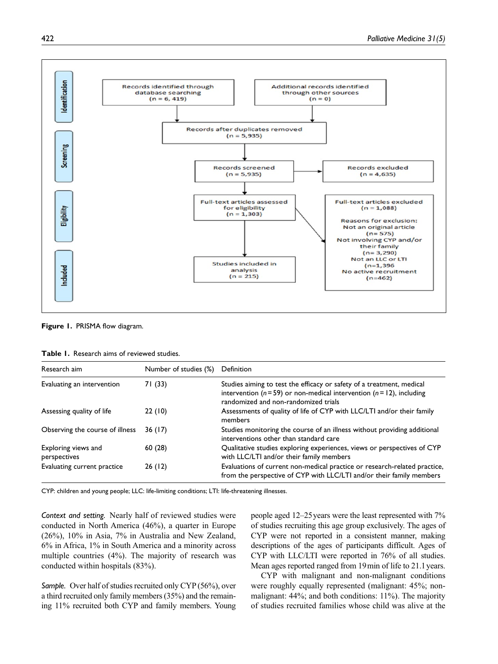

**Figure 1.** PRISMA flow diagram.

|  | Table 1. Research aims of reviewed studies. |  |  |  |
|--|---------------------------------------------|--|--|--|
|--|---------------------------------------------|--|--|--|

| Research aim                        | Number of studies (%) | <b>Definition</b>                                                                                                                                                                              |
|-------------------------------------|-----------------------|------------------------------------------------------------------------------------------------------------------------------------------------------------------------------------------------|
| Evaluating an intervention          | 71 (33)               | Studies aiming to test the efficacy or safety of a treatment, medical<br>intervention ( $n = 59$ ) or non-medical intervention ( $n = 12$ ), including<br>randomized and non-randomized trials |
| Assessing quality of life           | 22(10)                | Assessments of quality of life of CYP with LLC/LTI and/or their family<br>members                                                                                                              |
| Observing the course of illness     | 36(17)                | Studies monitoring the course of an illness without providing additional<br>interventions other than standard care                                                                             |
| Exploring views and<br>perspectives | 60(28)                | Qualitative studies exploring experiences, views or perspectives of CYP<br>with LLC/LTI and/or their family members                                                                            |
| Evaluating current practice         | 26(12)                | Evaluations of current non-medical practice or research-related practice,<br>from the perspective of CYP with LLC/LTI and/or their family members                                              |

CYP: children and young people; LLC: life-limiting conditions; LTI: life-threatening illnesses.

*Context and setting.* Nearly half of reviewed studies were conducted in North America (46%), a quarter in Europe (26%), 10% in Asia, 7% in Australia and New Zealand, 6% in Africa, 1% in South America and a minority across multiple countries (4%). The majority of research was conducted within hospitals (83%).

*Sample.* Over half of studies recruited only CYP (56%), over a third recruited only family members (35%) and the remaining 11% recruited both CYP and family members. Young

people aged 12–25years were the least represented with 7% of studies recruiting this age group exclusively. The ages of CYP were not reported in a consistent manner, making descriptions of the ages of participants difficult. Ages of CYP with LLC/LTI were reported in 76% of all studies. Mean ages reported ranged from 19 min of life to 21.1 years.

CYP with malignant and non-malignant conditions were roughly equally represented (malignant: 45%; nonmalignant: 44%; and both conditions: 11%). The majority of studies recruited families whose child was alive at the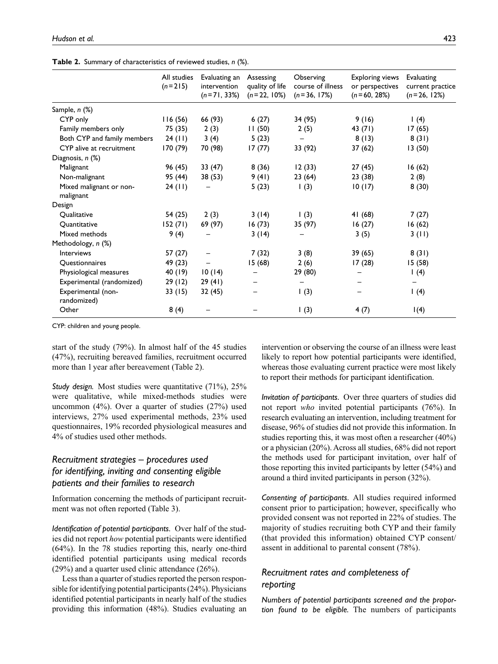**Table 2.** Summary of characteristics of reviewed studies, *n* (%).

|                                   | All studies<br>$(n=215)$ | Evaluating an<br>intervention<br>$(n=71, 33\%)$ | Assessing<br>quality of life<br>$(n=22, 10\%)$ | Observing<br>course of illness<br>$(n=36, 17%)$ | <b>Exploring views</b><br>or perspectives<br>$(n=60, 28%)$ | Evaluating<br>current practice<br>$(n=26, 12%)$ |
|-----------------------------------|--------------------------|-------------------------------------------------|------------------------------------------------|-------------------------------------------------|------------------------------------------------------------|-------------------------------------------------|
| Sample, n (%)                     |                          |                                                 |                                                |                                                 |                                                            |                                                 |
| CYP only                          | 116(56)                  | 66 (93)                                         | 6(27)                                          | 34 (95)                                         | 9(16)                                                      | 1(4)                                            |
| Family members only               | 75 (35)                  | 2(3)                                            | 11(50)                                         | 2(5)                                            | 43 (71)                                                    | 17 (65)                                         |
| Both CYP and family members       | 24 (11)                  | 3(4)                                            | 5(23)                                          |                                                 | 8(13)                                                      | 8(31)                                           |
| CYP alive at recruitment          | 170 (79)                 | 70 (98)                                         | 17(77)                                         | 33 (92)                                         | 37(62)                                                     | 13(50)                                          |
| Diagnosis, n (%)                  |                          |                                                 |                                                |                                                 |                                                            |                                                 |
| Malignant                         | 96 (45)                  | 33 (47)                                         | 8(36)                                          | 12(33)                                          | 27 (45)                                                    | 16(62)                                          |
| Non-malignant                     | 95 (44)                  | 38 (53)                                         | 9(41)                                          | 23(64)                                          | 23(38)                                                     | 2(8)                                            |
| Mixed malignant or non-           | 24 (11)                  |                                                 | 5(23)                                          | 1(3)                                            | 10(17)                                                     | 8(30)                                           |
| malignant                         |                          |                                                 |                                                |                                                 |                                                            |                                                 |
| Design                            |                          |                                                 |                                                |                                                 |                                                            |                                                 |
| Qualitative                       | 54 (25)                  | 2(3)                                            | 3(14)                                          | $\left(3\right)$                                | 41 (68)                                                    | 7(27)                                           |
| <b>Ouantitative</b>               | 152(71)                  | 69 (97)                                         | 16(73)                                         | 35 (97)                                         | 16(27)                                                     | 16(62)                                          |
| Mixed methods                     | 9(4)                     |                                                 | 3(14)                                          |                                                 | 3(5)                                                       | 3(11)                                           |
| Methodology, n (%)                |                          |                                                 |                                                |                                                 |                                                            |                                                 |
| <b>Interviews</b>                 | 57(27)                   |                                                 | 7(32)                                          | 3(8)                                            | 39 (65)                                                    | 8(31)                                           |
| <b>Ouestionnaires</b>             | 49 (23)                  |                                                 | 15(68)                                         | 2(6)                                            | 17(28)                                                     | 15(58)                                          |
| Physiological measures            | 40 (19)                  | 10(14)                                          | -                                              | 29 (80)                                         |                                                            | 1(4)                                            |
| Experimental (randomized)         | 29(12)                   | 29(41)                                          |                                                |                                                 |                                                            |                                                 |
| Experimental (non-<br>randomized) | 33(15)                   | 32 (45)                                         |                                                | $\left( 3\right)$                               |                                                            | 1(4)                                            |
| Other                             | 8(4)                     |                                                 |                                                | $\vert$ (3)                                     | 4(7)                                                       | I(4)                                            |

CYP: children and young people.

start of the study (79%). In almost half of the 45 studies (47%), recruiting bereaved families, recruitment occurred more than 1 year after bereavement (Table 2).

*Study design.* Most studies were quantitative (71%), 25% were qualitative, while mixed-methods studies were uncommon (4%). Over a quarter of studies (27%) used interviews, 27% used experimental methods, 23% used questionnaires, 19% recorded physiological measures and 4% of studies used other methods.

# *Recruitment strategies – procedures used for identifying, inviting and consenting eligible patients and their families to research*

Information concerning the methods of participant recruitment was not often reported (Table 3).

*Identification of potential participants.* Over half of the studies did not report *how* potential participants were identified (64%). In the 78 studies reporting this, nearly one-third identified potential participants using medical records (29%) and a quarter used clinic attendance (26%).

Less than a quarter of studies reported the person responsible for identifying potential participants (24%). Physicians identified potential participants in nearly half of the studies providing this information (48%). Studies evaluating an intervention or observing the course of an illness were least likely to report how potential participants were identified, whereas those evaluating current practice were most likely to report their methods for participant identification.

*Invitation of participants.* Over three quarters of studies did not report *who* invited potential participants (76%). In research evaluating an intervention, including treatment for disease, 96% of studies did not provide this information. In studies reporting this, it was most often a researcher (40%) or a physician (20%). Across all studies, 68% did not report the methods used for participant invitation, over half of those reporting this invited participants by letter (54%) and around a third invited participants in person (32%).

*Consenting of participants.* All studies required informed consent prior to participation; however, specifically who provided consent was not reported in 22% of studies. The majority of studies recruiting both CYP and their family (that provided this information) obtained CYP consent/ assent in additional to parental consent (78%).

# *Recruitment rates and completeness of reporting*

*Numbers of potential participants screened and the proportion found to be eligible.* The numbers of participants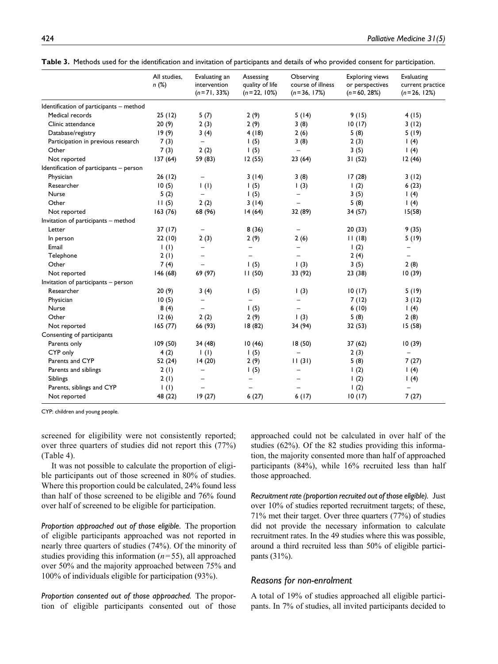| <b>Table 3.</b> Methods used for the identification and invitation of participants and details of who provided consent for participation. |  |  |  |  |  |  |
|-------------------------------------------------------------------------------------------------------------------------------------------|--|--|--|--|--|--|
|                                                                                                                                           |  |  |  |  |  |  |

|                                         | All studies,<br>n(%) | Evaluating an<br>intervention<br>$(n=71, 33\%)$ | Assessing<br>quality of life<br>$(n=22, 10\%)$ | Observing<br>course of illness<br>$(n=36, 17%)$ | <b>Exploring views</b><br>or perspectives<br>$(n=60, 28%)$ | Evaluating<br>current practice<br>$(n=26, 12%)$ |
|-----------------------------------------|----------------------|-------------------------------------------------|------------------------------------------------|-------------------------------------------------|------------------------------------------------------------|-------------------------------------------------|
| Identification of participants - method |                      |                                                 |                                                |                                                 |                                                            |                                                 |
| Medical records                         | 25(12)               | 5(7)                                            | 2(9)                                           | 5(14)                                           | 9(15)                                                      | 4(15)                                           |
| Clinic attendance                       | 20(9)                | 2(3)                                            | 2(9)                                           | 3(8)                                            | 10(17)                                                     | 3(12)                                           |
| Database/registry                       | 19(9)                | 3(4)                                            | 4(18)                                          | 2(6)                                            | 5(8)                                                       | 5(19)                                           |
| Participation in previous research      | 7(3)                 | $\overline{\phantom{m}}$                        | 1(5)                                           | 3(8)                                            | 2(3)                                                       | $\mathsf{I}$ (4)                                |
| Other                                   | 7(3)                 | 2(2)                                            | 1(5)                                           | $\overline{\phantom{0}}$                        | 3(5)                                                       | 1(4)                                            |
| Not reported                            | 137(64)              | 59 (83)                                         | 12(55)                                         | 23(64)                                          | 31(52)                                                     | 12 (46)                                         |
| Identification of participants - person |                      |                                                 |                                                |                                                 |                                                            |                                                 |
| Physician                               | 26(12)               | $\overline{\phantom{m}}$                        | 3(14)                                          | 3(8)                                            | 17(28)                                                     | 3(12)                                           |
| Researcher                              | 10(5)                | $\mathsf{I}(\mathsf{I})$                        | 1(5)                                           | 1(3)                                            | 1(2)                                                       | 6(23)                                           |
| <b>Nurse</b>                            | 5(2)                 | $\overline{\phantom{m}}$                        | 1(5)                                           | $\overline{\phantom{0}}$                        | 3(5)                                                       | 1(4)                                            |
| Other                                   | 11(5)                | 2(2)                                            | 3(14)                                          | $\overline{\phantom{0}}$                        | 5(8)                                                       | 1(4)                                            |
| Not reported                            | 163(76)              | 68 (96)                                         | 14(64)                                         | 32 (89)                                         | 34 (57)                                                    | 15(58)                                          |
| Invitation of participants - method     |                      |                                                 |                                                |                                                 |                                                            |                                                 |
| Letter                                  | 37(17)               | $\overline{\phantom{m}}$                        | 8(36)                                          | $\overline{\phantom{m}}$                        | 20(33)                                                     | 9(35)                                           |
| In person                               | 22(10)               | 2(3)                                            | 2(9)                                           | 2(6)                                            | 11(18)                                                     | 5(19)                                           |
| Email                                   | $\vert$ (l)          | $\qquad \qquad -$                               | $\overline{\phantom{m}}$                       |                                                 | 1(2)                                                       | $\overline{\phantom{m}}$                        |
| Telephone                               | 2(1)                 |                                                 | $\overline{\phantom{0}}$                       | $\qquad \qquad -$                               | 2(4)                                                       | $\overline{\phantom{0}}$                        |
| Other                                   | 7(4)                 |                                                 | 1(5)                                           | 1(3)                                            | 3(5)                                                       | 2(8)                                            |
| Not reported                            | 146(68)              | 69 (97)                                         | 11(50)                                         | 33 (92)                                         | 23 (38)                                                    | 10(39)                                          |
| Invitation of participants - person     |                      |                                                 |                                                |                                                 |                                                            |                                                 |
| Researcher                              | 20(9)                | 3(4)                                            | 1(5)                                           | 1(3)                                            | 10(17)                                                     | 5(19)                                           |
| Physician                               | 10(5)                | $\overline{\phantom{m}}$                        |                                                | $\qquad \qquad$                                 | 7(12)                                                      | 3(12)                                           |
| <b>Nurse</b>                            | 8(4)                 | $\overline{\phantom{0}}$                        | 1(5)                                           | $\overline{\phantom{0}}$                        | 6(10)                                                      | 1(4)                                            |
| Other                                   | 12(6)                | 2(2)                                            | 2(9)                                           | 1(3)                                            | 5(8)                                                       | 2(8)                                            |
| Not reported                            | 165(77)              | 66 (93)                                         | 18(82)                                         | 34 (94)                                         | 32(53)                                                     | 15(58)                                          |
| Consenting of participants              |                      |                                                 |                                                |                                                 |                                                            |                                                 |
| Parents only                            | 109(50)              | 34 (48)                                         | 10(46)                                         | 18(50)                                          | 37 (62)                                                    | 10(39)                                          |
| CYP only                                | 4(2)                 | $\vert$ (l)                                     | 1(5)                                           |                                                 | 2(3)                                                       |                                                 |
| Parents and CYP                         | 52 (24)              | 14(20)                                          | 2(9)                                           | 11(31)                                          | 5(8)                                                       | 7(27)                                           |
| Parents and siblings                    | 2(1)                 | $\overline{\phantom{m}}$                        | 1(5)                                           | $\qquad \qquad -$                               | 1(2)                                                       | 1(4)                                            |
| Siblings                                | 2(1)                 |                                                 |                                                |                                                 | (2)                                                        | 1(4)                                            |
| Parents, siblings and CYP               | $\vert$ (l)          |                                                 |                                                |                                                 | (2)                                                        |                                                 |
| Not reported                            | 48 (22)              | 19(27)                                          | 6(27)                                          | 6(17)                                           | 10(17)                                                     | 7(27)                                           |

CYP: children and young people.

screened for eligibility were not consistently reported; over three quarters of studies did not report this (77%) (Table 4).

It was not possible to calculate the proportion of eligible participants out of those screened in 80% of studies. Where this proportion could be calculated, 24% found less than half of those screened to be eligible and 76% found over half of screened to be eligible for participation.

*Proportion approached out of those eligible.* The proportion of eligible participants approached was not reported in nearly three quarters of studies (74%). Of the minority of studies providing this information (*n*=55), all approached over 50% and the majority approached between 75% and 100% of individuals eligible for participation (93%).

*Proportion consented out of those approached.* The proportion of eligible participants consented out of those approached could not be calculated in over half of the studies (62%). Of the 82 studies providing this information, the majority consented more than half of approached participants (84%), while 16% recruited less than half those approached.

*Recruitment rate (proportion recruited out of those eligible).* Just over 10% of studies reported recruitment targets; of these, 71% met their target. Over three quarters (77%) of studies did not provide the necessary information to calculate recruitment rates. In the 49 studies where this was possible, around a third recruited less than 50% of eligible participants (31%).

## *Reasons for non-enrolment*

A total of 19% of studies approached all eligible participants. In 7% of studies, all invited participants decided to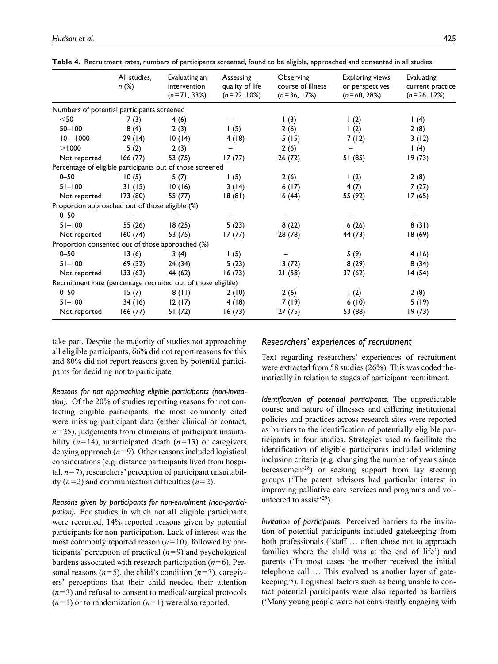|                                                               | All studies, | Evaluating an | Assessing       | Observing         | <b>Exploring views</b> | Evaluating       |  |
|---------------------------------------------------------------|--------------|---------------|-----------------|-------------------|------------------------|------------------|--|
|                                                               | n(%)         | intervention  | quality of life | course of illness | or perspectives        | current practice |  |
|                                                               |              | $(n=71, 33%)$ | $(n=22, 10\%)$  | $(n=36, 17%)$     | $(n=60, 28%)$          | $(n=26, 12%)$    |  |
| Numbers of potential participants screened                    |              |               |                 |                   |                        |                  |  |
| $<$ 50                                                        | 7(3)         | 4(6)          |                 | 1(3)              | 1(2)                   | 1(4)             |  |
| $50 - 100$                                                    | 8(4)         | 2(3)          | 1(5)            | 2(6)              | 1(2)                   | 2(8)             |  |
| $101 - 1000$                                                  | 29(14)       | 10(14)        | 4(18)           | 5(15)             | 7(12)                  | 3(12)            |  |
| > 1000                                                        | 5(2)         | 2(3)          |                 | 2(6)              |                        | 1(4)             |  |
| Not reported                                                  | 166(77)      | 53 (75)       | 17(77)          | 26(72)            | 51(85)                 | 19(73)           |  |
| Percentage of eligible participants out of those screened     |              |               |                 |                   |                        |                  |  |
| $0 - 50$                                                      | 10(5)        | 5(7)          | 1(5)            | 2(6)              | 1(2)                   | 2(8)             |  |
| $51 - 100$                                                    | 31(15)       | 10(16)        | 3(14)           | 6(17)             | 4(7)                   | 7(27)            |  |
| Not reported                                                  | 173 (80)     | 55 (77)       | 18(81)          | 16(44)            | 55 (92)                | 17 (65)          |  |
| Proportion approached out of those eligible (%)               |              |               |                 |                   |                        |                  |  |
| $0 - 50$                                                      |              |               |                 |                   |                        |                  |  |
| $51 - 100$                                                    | 55 (26)      | 18(25)        | 5(23)           | 8(22)             | 16 (26)                | 8(31)            |  |
| Not reported                                                  | 160(74)      | 53 (75)       | 17(77)          | 28 (78)           | 44 (73)                | 18 (69)          |  |
| Proportion consented out of those approached (%)              |              |               |                 |                   |                        |                  |  |
| $0 - 50$                                                      | 13(6)        | 3(4)          | 1(5)            |                   | 5(9)                   | 4(16)            |  |
| $51 - 100$                                                    | 69 (32)      | 24(34)        | 5(23)           | 13(72)            | 18(29)                 | 8(34)            |  |
| Not reported                                                  | 133(62)      | 44 (62)       | 16(73)          | 21(58)            | 37(62)                 | 14 (54)          |  |
| Recruitment rate (percentage recruited out of those eligible) |              |               |                 |                   |                        |                  |  |
| $0 - 50$                                                      | 15(7)        | 8(11)         | 2(10)           | 2(6)              | 1(2)                   | 2(8)             |  |
| $51 - 100$                                                    | 34(16)       | 12(17)        | 4(18)           | 7(19)             | 6(10)                  | 5(19)            |  |
| Not reported                                                  | 166(77)      | 51(72)        | 16(73)          | 27(75)            | 53 (88)                | 19(73)           |  |

**Table 4.** Recruitment rates, numbers of participants screened, found to be eligible, approached and consented in all studies.

take part. Despite the majority of studies not approaching all eligible participants, 66% did not report reasons for this and 80% did not report reasons given by potential participants for deciding not to participate.

*Reasons for not approaching eligible participants (non-invitation).* Of the 20% of studies reporting reasons for not contacting eligible participants, the most commonly cited were missing participant data (either clinical or contact,  $n=25$ ), judgements from clinicians of participant unsuitability  $(n=14)$ , unanticipated death  $(n=13)$  or caregivers denying approach (*n*=9). Other reasons included logistical considerations (e.g. distance participants lived from hospital,  $n=7$ ), researchers' perception of participant unsuitability (*n*=2) and communication difficulties (*n*=2).

*Reasons given by participants for non-enrolment (non-participation).* For studies in which not all eligible participants were recruited, 14% reported reasons given by potential participants for non-participation. Lack of interest was the most commonly reported reason  $(n=10)$ , followed by participants' perception of practical (*n*=9) and psychological burdens associated with research participation (*n*=6). Personal reasons  $(n=5)$ , the child's condition  $(n=3)$ , caregivers' perceptions that their child needed their attention (*n*=3) and refusal to consent to medical/surgical protocols  $(n=1)$  or to randomization  $(n=1)$  were also reported.

# *Researchers' experiences of recruitment*

Text regarding researchers' experiences of recruitment were extracted from 58 studies (26%). This was coded thematically in relation to stages of participant recruitment.

*Identification of potential participants.* The unpredictable course and nature of illnesses and differing institutional policies and practices across research sites were reported as barriers to the identification of potentially eligible participants in four studies. Strategies used to facilitate the identification of eligible participants included widening inclusion criteria (e.g. changing the number of years since bereavement<sup>28</sup>) or seeking support from lay steering groups ('The parent advisors had particular interest in improving palliative care services and programs and volunteered to assist'29).

*Invitation of participants.* Perceived barriers to the invitation of potential participants included gatekeeping from both professionals ('staff … often chose not to approach families where the child was at the end of life') and parents ('In most cases the mother received the initial telephone call … This evolved as another layer of gatekeeping'9). Logistical factors such as being unable to contact potential participants were also reported as barriers ('Many young people were not consistently engaging with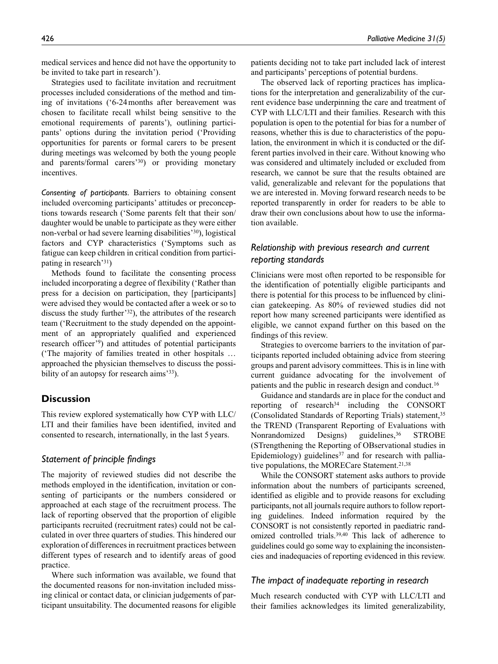Strategies used to facilitate invitation and recruitment processes included considerations of the method and timing of invitations ('6-24months after bereavement was chosen to facilitate recall whilst being sensitive to the emotional requirements of parents'), outlining participants' options during the invitation period ('Providing opportunities for parents or formal carers to be present during meetings was welcomed by both the young people and parents/formal carers'30) or providing monetary incentives.

*Consenting of participants.* Barriers to obtaining consent included overcoming participants' attitudes or preconceptions towards research ('Some parents felt that their son/ daughter would be unable to participate as they were either non-verbal or had severe learning disabilities'30), logistical factors and CYP characteristics ('Symptoms such as fatigue can keep children in critical condition from participating in research'31)

Methods found to facilitate the consenting process included incorporating a degree of flexibility ('Rather than press for a decision on participation, they [participants] were advised they would be contacted after a week or so to discuss the study further'32), the attributes of the research team ('Recruitment to the study depended on the appointment of an appropriately qualified and experienced research officer'9) and attitudes of potential participants ('The majority of families treated in other hospitals … approached the physician themselves to discuss the possibility of an autopsy for research aims<sup>'33</sup>).

# **Discussion**

This review explored systematically how CYP with LLC/ LTI and their families have been identified, invited and consented to research, internationally, in the last 5years.

## *Statement of principle findings*

The majority of reviewed studies did not describe the methods employed in the identification, invitation or consenting of participants or the numbers considered or approached at each stage of the recruitment process. The lack of reporting observed that the proportion of eligible participants recruited (recruitment rates) could not be calculated in over three quarters of studies. This hindered our exploration of differences in recruitment practices between different types of research and to identify areas of good practice.

Where such information was available, we found that the documented reasons for non-invitation included missing clinical or contact data, or clinician judgements of participant unsuitability. The documented reasons for eligible patients deciding not to take part included lack of interest and participants' perceptions of potential burdens.

The observed lack of reporting practices has implications for the interpretation and generalizability of the current evidence base underpinning the care and treatment of CYP with LLC/LTI and their families. Research with this population is open to the potential for bias for a number of reasons, whether this is due to characteristics of the population, the environment in which it is conducted or the different parties involved in their care. Without knowing who was considered and ultimately included or excluded from research, we cannot be sure that the results obtained are valid, generalizable and relevant for the populations that we are interested in. Moving forward research needs to be reported transparently in order for readers to be able to draw their own conclusions about how to use the information available.

# *Relationship with previous research and current reporting standards*

Clinicians were most often reported to be responsible for the identification of potentially eligible participants and there is potential for this process to be influenced by clinician gatekeeping. As 80% of reviewed studies did not report how many screened participants were identified as eligible, we cannot expand further on this based on the findings of this review.

Strategies to overcome barriers to the invitation of participants reported included obtaining advice from steering groups and parent advisory committees. This is in line with current guidance advocating for the involvement of patients and the public in research design and conduct.16

Guidance and standards are in place for the conduct and reporting of research<sup>34</sup> including the CONSORT (Consolidated Standards of Reporting Trials) statement,35 the TREND (Transparent Reporting of Evaluations with Nonrandomized Designs) guidelines,<sup>36</sup> STROBE (STrengthening the Reporting of OBservational studies in Epidemiology) guidelines $37$  and for research with palliative populations, the MORECare Statement.21,38

While the CONSORT statement asks authors to provide information about the numbers of participants screened, identified as eligible and to provide reasons for excluding participants, not all journals require authors to follow reporting guidelines. Indeed information required by the CONSORT is not consistently reported in paediatric randomized controlled trials.39,40 This lack of adherence to guidelines could go some way to explaining the inconsistencies and inadequacies of reporting evidenced in this review.

## *The impact of inadequate reporting in research*

Much research conducted with CYP with LLC/LTI and their families acknowledges its limited generalizability,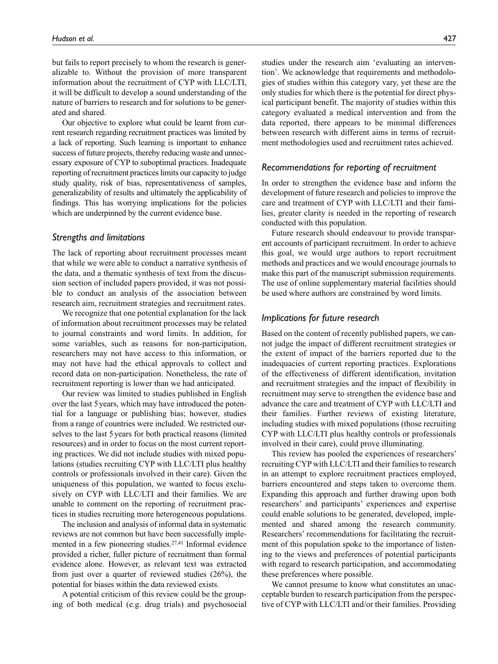but fails to report precisely to whom the research is generalizable to. Without the provision of more transparent information about the recruitment of CYP with LLC/LTI, it will be difficult to develop a sound understanding of the nature of barriers to research and for solutions to be generated and shared.

Our objective to explore what could be learnt from current research regarding recruitment practices was limited by a lack of reporting. Such learning is important to enhance success of future projects, thereby reducing waste and unnecessary exposure of CYP to suboptimal practices. Inadequate reporting of recruitment practices limits our capacity to judge study quality, risk of bias, representativeness of samples, generalizability of results and ultimately the applicability of findings. This has worrying implications for the policies which are underpinned by the current evidence base.

## *Strengths and limitations*

The lack of reporting about recruitment processes meant that while we were able to conduct a narrative synthesis of the data, and a thematic synthesis of text from the discussion section of included papers provided, it was not possible to conduct an analysis of the association between research aim, recruitment strategies and recruitment rates.

We recognize that one potential explanation for the lack of information about recruitment processes may be related to journal constraints and word limits. In addition, for some variables, such as reasons for non-participation, researchers may not have access to this information, or may not have had the ethical approvals to collect and record data on non-participation. Nonetheless, the rate of recruitment reporting is lower than we had anticipated.

Our review was limited to studies published in English over the last 5years, which may have introduced the potential for a language or publishing bias; however, studies from a range of countries were included. We restricted ourselves to the last 5years for both practical reasons (limited resources) and in order to focus on the most current reporting practices. We did not include studies with mixed populations (studies recruiting CYP with LLC/LTI plus healthy controls or professionals involved in their care). Given the uniqueness of this population, we wanted to focus exclusively on CYP with LLC/LTI and their families. We are unable to comment on the reporting of recruitment practices in studies recruiting more heterogeneous populations.

The inclusion and analysis of informal data in systematic reviews are not common but have been successfully implemented in a few pioneering studies.27,41 Informal evidence provided a richer, fuller picture of recruitment than formal evidence alone. However, as relevant text was extracted from just over a quarter of reviewed studies (26%), the potential for biases within the data reviewed exists.

A potential criticism of this review could be the grouping of both medical (e.g. drug trials) and psychosocial

studies under the research aim 'evaluating an intervention'. We acknowledge that requirements and methodologies of studies within this category vary, yet these are the only studies for which there is the potential for direct physical participant benefit. The majority of studies within this category evaluated a medical intervention and from the data reported, there appears to be minimal differences between research with different aims in terms of recruitment methodologies used and recruitment rates achieved.

### *Recommendations for reporting of recruitment*

In order to strengthen the evidence base and inform the development of future research and policies to improve the care and treatment of CYP with LLC/LTI and their families, greater clarity is needed in the reporting of research conducted with this population.

Future research should endeavour to provide transparent accounts of participant recruitment. In order to achieve this goal, we would urge authors to report recruitment methods and practices and we would encourage journals to make this part of the manuscript submission requirements. The use of online supplementary material facilities should be used where authors are constrained by word limits.

## *Implications for future research*

Based on the content of recently published papers, we cannot judge the impact of different recruitment strategies or the extent of impact of the barriers reported due to the inadequacies of current reporting practices. Explorations of the effectiveness of different identification, invitation and recruitment strategies and the impact of flexibility in recruitment may serve to strengthen the evidence base and advance the care and treatment of CYP with LLC/LTI and their families. Further reviews of existing literature, including studies with mixed populations (those recruiting CYP with LLC/LTI plus healthy controls or professionals involved in their care), could prove illuminating.

This review has pooled the experiences of researchers' recruiting CYP with LLC/LTI and their families to research in an attempt to explore recruitment practices employed, barriers encountered and steps taken to overcome them. Expanding this approach and further drawing upon both researchers' and participants' experiences and expertise could enable solutions to be generated, developed, implemented and shared among the research community. Researchers' recommendations for facilitating the recruitment of this population spoke to the importance of listening to the views and preferences of potential participants with regard to research participation, and accommodating these preferences where possible.

We cannot presume to know what constitutes an unacceptable burden to research participation from the perspective of CYP with LLC/LTI and/or their families. Providing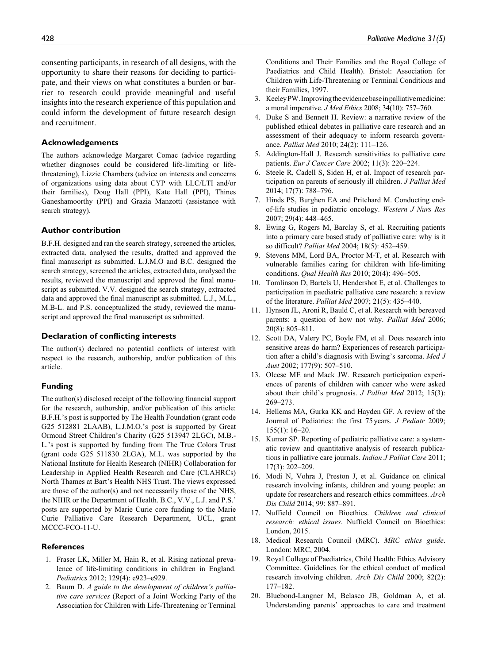consenting participants, in research of all designs, with the opportunity to share their reasons for deciding to participate, and their views on what constitutes a burden or barrier to research could provide meaningful and useful insights into the research experience of this population and could inform the development of future research design and recruitment.

### **Acknowledgements**

The authors acknowledge Margaret Comac (advice regarding whether diagnoses could be considered life-limiting or lifethreatening), Lizzie Chambers (advice on interests and concerns of organizations using data about CYP with LLC/LTI and/or their families), Doug Hall (PPI), Kate Hall (PPI), Thines Ganeshamoorthy (PPI) and Grazia Manzotti (assistance with search strategy).

## **Author contribution**

B.F.H. designed and ran the search strategy, screened the articles, extracted data, analysed the results, drafted and approved the final manuscript as submitted. L.J.M.O and B.C. designed the search strategy, screened the articles, extracted data, analysed the results, reviewed the manuscript and approved the final manuscript as submitted. V.V. designed the search strategy, extracted data and approved the final manuscript as submitted. L.J., M.L., M.B-L. and P.S. conceptualized the study, reviewed the manuscript and approved the final manuscript as submitted.

### **Declaration of conflicting interests**

The author(s) declared no potential conflicts of interest with respect to the research, authorship, and/or publication of this article.

## **Funding**

The author(s) disclosed receipt of the following financial support for the research, authorship, and/or publication of this article: B.F.H.'s post is supported by The Health Foundation (grant code G25 512881 2LAAB), L.J.M.O.'s post is supported by Great Ormond Street Children's Charity (G25 513947 2LGC), M.B.- L.'s post is supported by funding from The True Colors Trust (grant code G25 511830 2LGA), M.L. was supported by the National Institute for Health Research (NIHR) Collaboration for Leadership in Applied Health Research and Care (CLAHRCs) North Thames at Bart's Health NHS Trust. The views expressed are those of the author(s) and not necessarily those of the NHS, the NIHR or the Department of Health. B.C., V.V., L.J. and P.S.' posts are supported by Marie Curie core funding to the Marie Curie Palliative Care Research Department, UCL, grant MCCC-FCO-11-U.

## **References**

- 1. Fraser LK, Miller M, Hain R, et al. Rising national prevalence of life-limiting conditions in children in England. *Pediatrics* 2012; 129(4): e923–e929.
- 2. Baum D. *A guide to the development of children's palliative care services* (Report of a Joint Working Party of the Association for Children with Life-Threatening or Terminal

Conditions and Their Families and the Royal College of Paediatrics and Child Health). Bristol: Association for Children with Life-Threatening or Terminal Conditions and their Families, 1997.

- 3. Keeley PW. Improving the evidence base in palliative medicine: a moral imperative. *J Med Ethics* 2008; 34(10): 757–760.
- 4. Duke S and Bennett H. Review: a narrative review of the published ethical debates in palliative care research and an assessment of their adequacy to inform research governance. *Palliat Med* 2010; 24(2): 111–126.
- 5. Addington-Hall J. Research sensitivities to palliative care patients. *Eur J Cancer Care* 2002; 11(3): 220–224.
- 6. Steele R, Cadell S, Siden H, et al. Impact of research participation on parents of seriously ill children. *J Palliat Med* 2014; 17(7): 788–796.
- 7. Hinds PS, Burghen EA and Pritchard M. Conducting endof-life studies in pediatric oncology. *Western J Nurs Res* 2007; 29(4): 448–465.
- 8. Ewing G, Rogers M, Barclay S, et al. Recruiting patients into a primary care based study of palliative care: why is it so difficult? *Palliat Med* 2004; 18(5): 452–459.
- 9. Stevens MM, Lord BA, Proctor M-T, et al. Research with vulnerable families caring for children with life-limiting conditions. *Qual Health Res* 2010; 20(4): 496–505.
- 10. Tomlinson D, Bartels U, Hendershot E, et al. Challenges to participation in paediatric palliative care research: a review of the literature. *Palliat Med* 2007; 21(5): 435–440.
- 11. Hynson JL, Aroni R, Bauld C, et al. Research with bereaved parents: a question of how not why. *Palliat Med* 2006; 20(8): 805–811.
- 12. Scott DA, Valery PC, Boyle FM, et al. Does research into sensitive areas do harm? Experiences of research participation after a child's diagnosis with Ewing's sarcoma. *Med J Aust* 2002; 177(9): 507–510.
- 13. Olcese ME and Mack JW. Research participation experiences of parents of children with cancer who were asked about their child's prognosis. *J Palliat Med* 2012; 15(3): 269–273.
- 14. Hellems MA, Gurka KK and Hayden GF. A review of the Journal of Pediatrics: the first 75 years. *J Pediatr* 2009; 155(1): 16–20.
- 15. Kumar SP. Reporting of pediatric palliative care: a systematic review and quantitative analysis of research publications in palliative care journals. *Indian J Palliat Care* 2011; 17(3): 202–209.
- 16. Modi N, Vohra J, Preston J, et al. Guidance on clinical research involving infants, children and young people: an update for researchers and research ethics committees. *Arch Dis Child* 2014; 99: 887–891.
- 17. Nuffield Council on Bioethics. *Children and clinical research: ethical issues*. Nuffield Council on Bioethics: London, 2015.
- 18. Medical Research Council (MRC). *MRC ethics guide*. London: MRC, 2004.
- 19. Royal College of Paediatrics, Child Health: Ethics Advisory Committee. Guidelines for the ethical conduct of medical research involving children. *Arch Dis Child* 2000; 82(2): 177–182.
- 20. Bluebond-Langner M, Belasco JB, Goldman A, et al. Understanding parents' approaches to care and treatment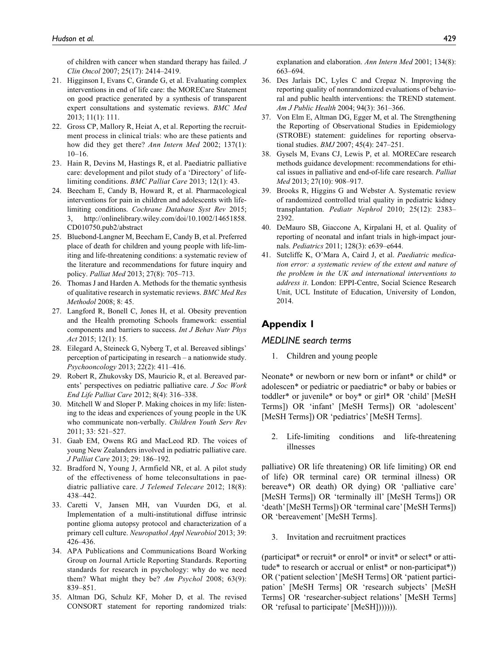of children with cancer when standard therapy has failed. *J Clin Oncol* 2007; 25(17): 2414–2419.

- 21. Higginson I, Evans C, Grande G, et al. Evaluating complex interventions in end of life care: the MORECare Statement on good practice generated by a synthesis of transparent expert consultations and systematic reviews. *BMC Med* 2013; 11(1): 111.
- 22. Gross CP, Mallory R, Heiat A, et al. Reporting the recruitment process in clinical trials: who are these patients and how did they get there? *Ann Intern Med* 2002; 137(1): 10–16.
- 23. Hain R, Devins M, Hastings R, et al. Paediatric palliative care: development and pilot study of a 'Directory' of lifelimiting conditions. *BMC Palliat Care* 2013; 12(1): 43.
- 24. Beecham E, Candy B, Howard R, et al. Pharmacological interventions for pain in children and adolescents with lifelimiting conditions. *Cochrane Database Syst Rev* 2015; 3, [http://onlinelibrary.wiley.com/doi/10.1002/14651858.](http://onlinelibrary.wiley.com/doi/10.1002/14651858.CD010750.pub2/abstract) [CD010750.pub2/abstract](http://onlinelibrary.wiley.com/doi/10.1002/14651858.CD010750.pub2/abstract)
- 25. Bluebond-Langner M, Beecham E, Candy B, et al. Preferred place of death for children and young people with life-limiting and life-threatening conditions: a systematic review of the literature and recommendations for future inquiry and policy. *Palliat Med* 2013; 27(8): 705–713.
- 26. Thomas J and Harden A. Methods for the thematic synthesis of qualitative research in systematic reviews. *BMC Med Res Methodol* 2008; 8: 45.
- 27. Langford R, Bonell C, Jones H, et al. Obesity prevention and the Health promoting Schools framework: essential components and barriers to success. *Int J Behav Nutr Phys Act* 2015; 12(1): 15.
- 28. Eilegard A, Steineck G, Nyberg T, et al. Bereaved siblings' perception of participating in research – a nationwide study. *Psychooncology* 2013; 22(2): 411–416.
- 29. Robert R, Zhukovsky DS, Mauricio R, et al. Bereaved parents' perspectives on pediatric palliative care. *J Soc Work End Life Palliat Care* 2012; 8(4): 316–338.
- 30. Mitchell W and Sloper P. Making choices in my life: listening to the ideas and experiences of young people in the UK who communicate non-verbally. *Children Youth Serv Rev* 2011; 33: 521–527.
- 31. Gaab EM, Owens RG and MacLeod RD. The voices of young New Zealanders involved in pediatric palliative care. *J Palliat Care* 2013; 29: 186–192.
- 32. Bradford N, Young J, Armfield NR, et al. A pilot study of the effectiveness of home teleconsultations in paediatric palliative care. *J Telemed Telecare* 2012; 18(8): 438–442.
- 33. Caretti V, Jansen MH, van Vuurden DG, et al. Implementation of a multi-institutional diffuse intrinsic pontine glioma autopsy protocol and characterization of a primary cell culture. *Neuropathol Appl Neurobiol* 2013; 39: 426–436.
- 34. APA Publications and Communications Board Working Group on Journal Article Reporting Standards. Reporting standards for research in psychology: why do we need them? What might they be? *Am Psychol* 2008; 63(9): 839–851.
- 35. Altman DG, Schulz KF, Moher D, et al. The revised CONSORT statement for reporting randomized trials:

explanation and elaboration. *Ann Intern Med* 2001; 134(8): 663–694.

- 36. Des Jarlais DC, Lyles C and Crepaz N. Improving the reporting quality of nonrandomized evaluations of behavioral and public health interventions: the TREND statement. *Am J Public Health* 2004; 94(3): 361–366.
- 37. Von Elm E, Altman DG, Egger M, et al. The Strengthening the Reporting of Observational Studies in Epidemiology (STROBE) statement: guidelines for reporting observational studies. *BMJ* 2007; 45(4): 247–251.
- 38. Gysels M, Evans CJ, Lewis P, et al. MORECare research methods guidance development: recommendations for ethical issues in palliative and end-of-life care research. *Palliat Med* 2013; 27(10): 908–917.
- 39. Brooks R, Higgins G and Webster A. Systematic review of randomized controlled trial quality in pediatric kidney transplantation. *Pediatr Nephrol* 2010; 25(12): 2383– 2392.
- 40. DeMauro SB, Giaccone A, Kirpalani H, et al. Quality of reporting of neonatal and infant trials in high-impact journals. *Pediatrics* 2011; 128(3): e639–e644.
- 41. Sutcliffe K, O'Mara A, Caird J, et al. *Paediatric medication error: a systematic review of the extent and nature of the problem in the UK and international interventions to address it*. London: EPPI-Centre, Social Science Research Unit, UCL Institute of Education, University of London, 2014.

# **Appendix 1**

# *MEDLINE search terms*

1. Children and young people

Neonate\* or newborn or new born or infant\* or child\* or adolescen\* or pediatric or paediatric\* or baby or babies or toddler\* or juvenile\* or boy\* or girl\* OR 'child' [MeSH Terms]) OR 'infant' [MeSH Terms]) OR 'adolescent' [MeSH Terms]) OR 'pediatrics' [MeSH Terms].

2. Life-limiting conditions and life-threatening illnesses

palliative) OR life threatening) OR life limiting) OR end of life) OR terminal care) OR terminal illness) OR bereave\*) OR death) OR dying) OR 'palliative care' [MeSH Terms]) OR 'terminally ill' [MeSH Terms]) OR 'death' [MeSH Terms]) OR 'terminal care' [MeSH Terms]) OR 'bereavement' [MeSH Terms].

3. Invitation and recruitment practices

(participat\* or recruit\* or enrol\* or invit\* or select\* or attitude\* to research or accrual or enlist\* or non-participat\*)) OR ('patient selection' [MeSH Terms] OR 'patient participation' [MeSH Terms] OR 'research subjects' [MeSH Terms] OR 'researcher-subject relations' [MeSH Terms] OR 'refusal to participate' [MeSH])))))).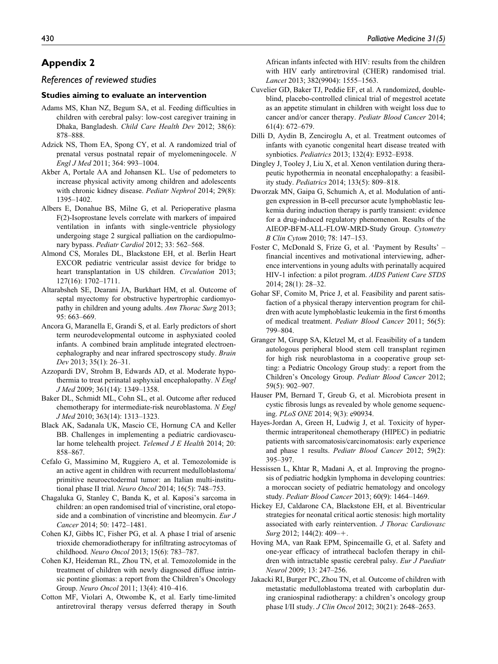# **Appendix 2**

# *References of reviewed studies*

## **Studies aiming to evaluate an intervention**

- Adams MS, Khan NZ, Begum SA, et al. Feeding difficulties in children with cerebral palsy: low-cost caregiver training in Dhaka, Bangladesh. *Child Care Health Dev* 2012; 38(6): 878–888.
- Adzick NS, Thom EA, Spong CY, et al. A randomized trial of prenatal versus postnatal repair of myelomeningocele. *N Engl J Med* 2011; 364: 993–1004.
- Akber A, Portale AA and Johansen KL. Use of pedometers to increase physical activity among children and adolescents with chronic kidney disease. *Pediatr Nephrol* 2014; 29(8): 1395–1402.
- Albers E, Donahue BS, Milne G, et al. Perioperative plasma F(2)-Isoprostane levels correlate with markers of impaired ventilation in infants with single-ventricle physiology undergoing stage 2 surgical palliation on the cardiopulmonary bypass. *Pediatr Cardiol* 2012; 33: 562–568.
- Almond CS, Morales DL, Blackstone EH, et al. Berlin Heart EXCOR pediatric ventricular assist device for bridge to heart transplantation in US children. *Circulation* 2013; 127(16): 1702–1711.
- Altarabsheh SE, Dearani JA, Burkhart HM, et al. Outcome of septal myectomy for obstructive hypertrophic cardiomyopathy in children and young adults. *Ann Thorac Surg* 2013; 95: 663–669.
- Ancora G, Maranella E, Grandi S, et al. Early predictors of short term neurodevelopmental outcome in asphyxiated cooled infants. A combined brain amplitude integrated electroencephalography and near infrared spectroscopy study. *Brain Dev* 2013; 35(1): 26–31.
- Azzopardi DV, Strohm B, Edwards AD, et al. Moderate hypothermia to treat perinatal asphyxial encephalopathy. *N Engl J Med* 2009; 361(14): 1349–1358.
- Baker DL, Schmidt ML, Cohn SL, et al. Outcome after reduced chemotherapy for intermediate-risk neuroblastoma. *N Engl J Med* 2010; 363(14): 1313–1323.
- Black AK, Sadanala UK, Mascio CE, Hornung CA and Keller BB. Challenges in implementing a pediatric cardiovascular home telehealth project. *Telemed J E Health* 2014; 20: 858–867.
- Cefalo G, Massimino M, Ruggiero A, et al. Temozolomide is an active agent in children with recurrent medulloblastoma/ primitive neuroectodermal tumor: an Italian multi-institutional phase II trial. *Neuro Oncol* 2014; 16(5): 748–753.
- Chagaluka G, Stanley C, Banda K, et al. Kaposi's sarcoma in children: an open randomised trial of vincristine, oral etoposide and a combination of vincristine and bleomycin. *Eur J Cancer* 2014; 50: 1472–1481.
- Cohen KJ, Gibbs IC, Fisher PG, et al. A phase I trial of arsenic trioxide chemoradiotherapy for infiltrating astrocytomas of childhood. *Neuro Oncol* 2013; 15(6): 783–787.
- Cohen KJ, Heideman RL, Zhou TN, et al. Temozolomide in the treatment of children with newly diagnosed diffuse intrinsic pontine gliomas: a report from the Children's Oncology Group. *Neuro Oncol* 2011; 13(4): 410–416.
- Cotton MF, Violari A, Otwombe K, et al. Early time-limited antiretroviral therapy versus deferred therapy in South

African infants infected with HIV: results from the children with HIV early antiretroviral (CHER) randomised trial. *Lancet* 2013; 382(9904): 1555–1563.

- Cuvelier GD, Baker TJ, Peddie EF, et al. A randomized, doubleblind, placebo-controlled clinical trial of megestrol acetate as an appetite stimulant in children with weight loss due to cancer and/or cancer therapy. *Pediatr Blood Cancer* 2014; 61(4): 672–679.
- Dilli D, Aydin B, Zenciroglu A, et al. Treatment outcomes of infants with cyanotic congenital heart disease treated with synbiotics. *Pediatrics* 2013; 132(4): E932–E938.
- Dingley J, Tooley J, Liu X, et al. Xenon ventilation during therapeutic hypothermia in neonatal encephalopathy: a feasibility study. *Pediatrics* 2014; 133(5): 809–818.
- Dworzak MN, Gaipa G, Schumich A, et al. Modulation of antigen expression in B-cell precursor acute lymphoblastic leukemia during induction therapy is partly transient: evidence for a drug-induced regulatory phenomenon. Results of the AIEOP-BFM-ALL-FLOW-MRD-Study Group. *Cytometry B Clin Cytom* 2010; 78: 147–153.
- Foster C, McDonald S, Frize G, et al. 'Payment by Results' financial incentives and motivational interviewing, adherence interventions in young adults with perinatally acquired HIV-1 infection: a pilot program. *AIDS Patient Care STDS* 2014; 28(1): 28–32.
- Gohar SF, Comito M, Price J, et al. Feasibility and parent satisfaction of a physical therapy intervention program for children with acute lymphoblastic leukemia in the first 6months of medical treatment. *Pediatr Blood Cancer* 2011; 56(5): 799–804.
- Granger M, Grupp SA, Kletzel M, et al. Feasibility of a tandem autologous peripheral blood stem cell transplant regimen for high risk neuroblastoma in a cooperative group setting: a Pediatric Oncology Group study: a report from the Children's Oncology Group. *Pediatr Blood Cancer* 2012; 59(5): 902–907.
- Hauser PM, Bernard T, Greub G, et al. Microbiota present in cystic fibrosis lungs as revealed by whole genome sequencing. *PLoS ONE* 2014; 9(3): e90934.
- Hayes-Jordan A, Green H, Ludwig J, et al. Toxicity of hyperthermic intraperitoneal chemotherapy (HIPEC) in pediatric patients with sarcomatosis/carcinomatosis: early experience and phase 1 results. *Pediatr Blood Cancer* 2012; 59(2): 395–397.
- Hessissen L, Khtar R, Madani A, et al. Improving the prognosis of pediatric hodgkin lymphoma in developing countries: a moroccan society of pediatric hematology and oncology study. *Pediatr Blood Cancer* 2013; 60(9): 1464–1469.
- Hickey EJ, Caldarone CA, Blackstone EH, et al. Biventricular strategies for neonatal critical aortic stenosis: high mortality associated with early reintervention. *J Thorac Cardiovasc Surg* 2012; 144(2): 409–+.
- Hoving MA, van Raak EPM, Spincemaille G, et al. Safety and one-year efficacy of intrathecal baclofen therapy in children with intractable spastic cerebral palsy. *Eur J Paediatr Neurol* 2009; 13: 247–256.
- Jakacki RI, Burger PC, Zhou TN, et al. Outcome of children with metastatic medulloblastoma treated with carboplatin during craniospinal radiotherapy: a children's oncology group phase I/II study. *J Clin Oncol* 2012; 30(21): 2648–2653.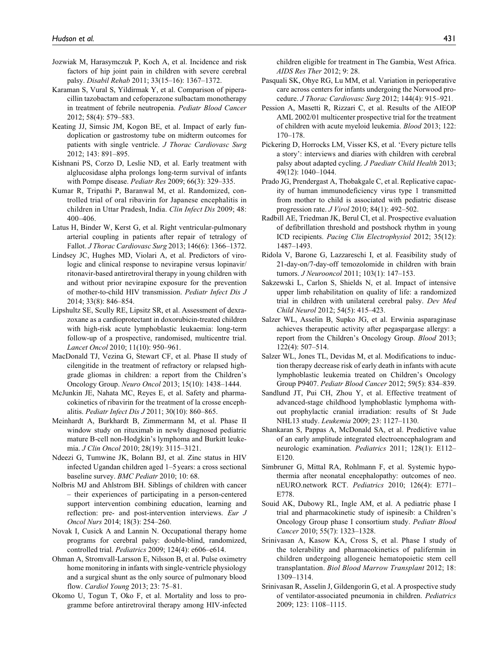- Jozwiak M, Harasymczuk P, Koch A, et al. Incidence and risk factors of hip joint pain in children with severe cerebral palsy. *Disabil Rehab* 2011; 33(15–16): 1367–1372.
- Karaman S, Vural S, Yildirmak Y, et al. Comparison of piperacillin tazobactam and cefoperazone sulbactam monotherapy in treatment of febrile neutropenia. *Pediatr Blood Cancer* 2012; 58(4): 579–583.
- Keating JJ, Simsic JM, Kogon BE, et al. Impact of early fundoplication or gastrostomy tube on midterm outcomes for patients with single ventricle. *J Thorac Cardiovasc Surg* 2012; 143: 891–895.
- Kishnani PS, Corzo D, Leslie ND, et al. Early treatment with alglucosidase alpha prolongs long-term survival of infants with Pompe disease. *Pediatr Res* 2009; 66(3): 329–335.
- Kumar R, Tripathi P, Baranwal M, et al. Randomized, controlled trial of oral ribavirin for Japanese encephalitis in children in Uttar Pradesh, India. *Clin Infect Dis* 2009; 48: 400–406.
- Latus H, Binder W, Kerst G, et al. Right ventricular-pulmonary arterial coupling in patients after repair of tetralogy of Fallot. *J Thorac Cardiovasc Surg* 2013; 146(6): 1366–1372.
- Lindsey JC, Hughes MD, Violari A, et al. Predictors of virologic and clinical response to nevirapine versus lopinavir/ ritonavir-based antiretroviral therapy in young children with and without prior nevirapine exposure for the prevention of mother-to-child HIV transmission. *Pediatr Infect Dis J* 2014; 33(8): 846–854.
- Lipshultz SE, Scully RE, Lipsitz SR, et al. Assessment of dexrazoxane as a cardioprotectant in doxorubicin-treated children with high-risk acute lymphoblastic leukaemia: long-term follow-up of a prospective, randomised, multicentre trial. *Lancet Oncol* 2010; 11(10): 950–961.
- MacDonald TJ, Vezina G, Stewart CF, et al. Phase II study of cilengitide in the treatment of refractory or relapsed highgrade gliomas in children: a report from the Children's Oncology Group. *Neuro Oncol* 2013; 15(10): 1438–1444.
- McJunkin JE, Nahata MC, Reyes E, et al. Safety and pharmacokinetics of ribavirin for the treatment of la crosse encephalitis. *Pediatr Infect Dis J* 2011; 30(10): 860–865.
- Meinhardt A, Burkhardt B, Zimmermann M, et al. Phase II window study on rituximab in newly diagnosed pediatric mature B-cell non-Hodgkin's lymphoma and Burkitt leukemia. *J Clin Oncol* 2010; 28(19): 3115–3121.
- Ndeezi G, Tumwine JK, Bolann BJ, et al. Zinc status in HIV infected Ugandan children aged 1–5 years: a cross sectional baseline survey. *BMC Pediatr* 2010; 10: 68.
- Nolbris MJ and Ahlstrom BH. Siblings of children with cancer – their experiences of participating in a person-centered support intervention combining education, learning and reflection: pre- and post-intervention interviews. *Eur J Oncol Nurs* 2014; 18(3): 254–260.
- Novak I, Cusick A and Lannin N. Occupational therapy home programs for cerebral palsy: double-blind, randomized, controlled trial. *Pediatrics* 2009; 124(4): e606–e614.
- Ohman A, Stromvall-Larsson E, Nilsson B, et al. Pulse oximetry home monitoring in infants with single-ventricle physiology and a surgical shunt as the only source of pulmonary blood flow. *Cardiol Young* 2013; 23: 75–81.
- Okomo U, Togun T, Oko F, et al. Mortality and loss to programme before antiretroviral therapy among HIV-infected

children eligible for treatment in The Gambia, West Africa. *AIDS Res Ther* 2012; 9: 28.

- Pasquali SK, Ohye RG, Lu MM, et al. Variation in perioperative care across centers for infants undergoing the Norwood procedure. *J Thorac Cardiovasc Surg* 2012; 144(4): 915–921.
- Pession A, Masetti R, Rizzari C, et al. Results of the AIEOP AML 2002/01 multicenter prospective trial for the treatment of children with acute myeloid leukemia. *Blood* 2013; 122: 170–178.
- Pickering D, Horrocks LM, Visser KS, et al. 'Every picture tells a story': interviews and diaries with children with cerebral palsy about adapted cycling. *J Paediatr Child Health* 2013; 49(12): 1040–1044.
- Prado JG, Prendergast A, Thobakgale C, et al. Replicative capacity of human immunodeficiency virus type 1 transmitted from mother to child is associated with pediatric disease progression rate. *J Virol* 2010; 84(1): 492–502.
- Radbill AE, Triedman JK, Berul CI, et al. Prospective evaluation of defibrillation threshold and postshock rhythm in young ICD recipients. *Pacing Clin Electrophysiol* 2012; 35(12): 1487–1493.
- Ridola V, Barone G, Lazzareschi I, et al. Feasibility study of 21-day-on/7-day-off temozolomide in children with brain tumors. *J Neurooncol* 2011; 103(1): 147–153.
- Sakzewski L, Carlon S, Shields N, et al. Impact of intensive upper limb rehabilitation on quality of life: a randomized trial in children with unilateral cerebral palsy. *Dev Med Child Neurol* 2012; 54(5): 415–423.
- Salzer WL, Asselin B, Supko JG, et al. Erwinia asparaginase achieves therapeutic activity after pegaspargase allergy: a report from the Children's Oncology Group. *Blood* 2013; 122(4): 507–514.
- Salzer WL, Jones TL, Devidas M, et al. Modifications to induction therapy decrease risk of early death in infants with acute lymphoblastic leukemia treated on Children's Oncology Group P9407. *Pediatr Blood Cancer* 2012; 59(5): 834–839.
- Sandlund JT, Pui CH, Zhou Y, et al. Effective treatment of advanced-stage childhood lymphoblastic lymphoma without prophylactic cranial irradiation: results of St Jude NHL13 study. *Leukemia* 2009; 23: 1127–1130.
- Shankaran S, Pappas A, McDonald SA, et al. Predictive value of an early amplitude integrated electroencephalogram and neurologic examination. *Pediatrics* 2011; 128(1): E112– E120.
- Simbruner G, Mittal RA, Rohlmann F, et al. Systemic hypothermia after neonatal encephalopathy: outcomes of neo. nEURO.network RCT. *Pediatrics* 2010; 126(4): E771– E778.
- Souid AK, Dubowy RL, Ingle AM, et al. A pediatric phase I trial and pharmacokinetic study of ispinesib: a Children's Oncology Group phase I consortium study. *Pediatr Blood Cancer* 2010; 55(7): 1323–1328.
- Srinivasan A, Kasow KA, Cross S, et al. Phase I study of the tolerability and pharmacokinetics of palifermin in children undergoing allogeneic hematopoietic stem cell transplantation. *Biol Blood Marrow Transplant* 2012; 18: 1309–1314.
- Srinivasan R, Asselin J, Gildengorin G, et al. A prospective study of ventilator-associated pneumonia in children. *Pediatrics* 2009; 123: 1108–1115.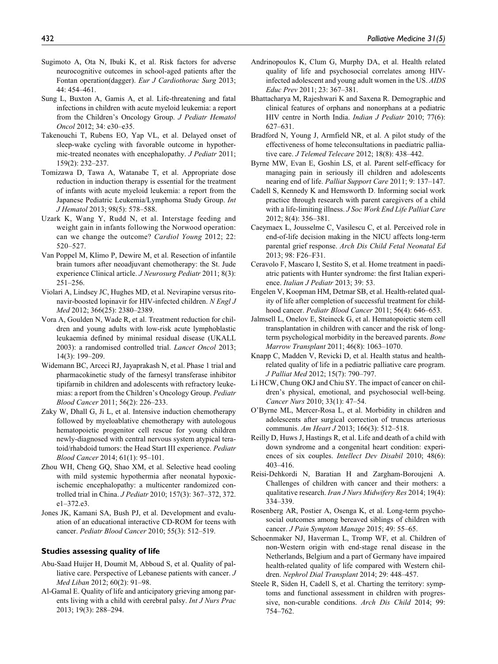- Sugimoto A, Ota N, Ibuki K, et al. Risk factors for adverse neurocognitive outcomes in school-aged patients after the Fontan operation(dagger). *Eur J Cardiothorac Surg* 2013; 44: 454–461.
- Sung L, Buxton A, Gamis A, et al. Life-threatening and fatal infections in children with acute myeloid leukemia: a report from the Children's Oncology Group. *J Pediatr Hematol Oncol* 2012; 34: e30–e35.
- Takenouchi T, Rubens EO, Yap VL, et al. Delayed onset of sleep-wake cycling with favorable outcome in hypothermic-treated neonates with encephalopathy. *J Pediatr* 2011; 159(2): 232–237.
- Tomizawa D, Tawa A, Watanabe T, et al. Appropriate dose reduction in induction therapy is essential for the treatment of infants with acute myeloid leukemia: a report from the Japanese Pediatric Leukemia/Lymphoma Study Group. *Int J Hematol* 2013; 98(5): 578–588.
- Uzark K, Wang Y, Rudd N, et al. Interstage feeding and weight gain in infants following the Norwood operation: can we change the outcome? *Cardiol Young* 2012; 22: 520–527.
- Van Poppel M, Klimo P, Dewire M, et al. Resection of infantile brain tumors after neoadjuvant chemotherapy: the St. Jude experience Clinical article. *J Neurosurg Pediatr* 2011; 8(3): 251–256.
- Violari A, Lindsey JC, Hughes MD, et al. Nevirapine versus ritonavir-boosted lopinavir for HIV-infected children. *N Engl J Med* 2012; 366(25): 2380–2389.
- Vora A, Goulden N, Wade R, et al. Treatment reduction for children and young adults with low-risk acute lymphoblastic leukaemia defined by minimal residual disease (UKALL 2003): a randomised controlled trial. *Lancet Oncol* 2013; 14(3): 199–209.
- Widemann BC, Arceci RJ, Jayaprakash N, et al. Phase 1 trial and pharmacokinetic study of the farnesyl transferase inhibitor tipifarnib in children and adolescents with refractory leukemias: a report from the Children's Oncology Group. *Pediatr Blood Cancer* 2011; 56(2): 226–233.
- Zaky W, Dhall G, Ji L, et al. Intensive induction chemotherapy followed by myeloablative chemotherapy with autologous hematopoietic progenitor cell rescue for young children newly-diagnosed with central nervous system atypical teratoid/rhabdoid tumors: the Head Start III experience. *Pediatr Blood Cancer* 2014; 61(1): 95–101.
- Zhou WH, Cheng GQ, Shao XM, et al. Selective head cooling with mild systemic hypothermia after neonatal hypoxicischemic encephalopathy: a multicenter randomized controlled trial in China. *J Pediatr* 2010; 157(3): 367–372, 372. e1–372.e3.
- Jones JK, Kamani SA, Bush PJ, et al. Development and evaluation of an educational interactive CD-ROM for teens with cancer. *Pediatr Blood Cancer* 2010; 55(3): 512–519.

### **Studies assessing quality of life**

- Abu-Saad Huijer H, Doumit M, Abboud S, et al. Quality of palliative care. Perspective of Lebanese patients with cancer. *J Med Liban* 2012; 60(2): 91–98.
- Al-Gamal E. Quality of life and anticipatory grieving among parents living with a child with cerebral palsy. *Int J Nurs Prac* 2013; 19(3): 288–294.
- Andrinopoulos K, Clum G, Murphy DA, et al. Health related quality of life and psychosocial correlates among HIVinfected adolescent and young adult women in the US. *AIDS Educ Prev* 2011; 23: 367–381.
- Bhattacharya M, Rajeshwari K and Saxena R. Demographic and clinical features of orphans and nonorphans at a pediatric HIV centre in North India. *Indian J Pediatr* 2010; 77(6): 627–631.
- Bradford N, Young J, Armfield NR, et al. A pilot study of the effectiveness of home teleconsultations in paediatric palliative care. *J Telemed Telecare* 2012; 18(8): 438–442.
- Byrne MW, Evan E, Goshin LS, et al. Parent self-efficacy for managing pain in seriously ill children and adolescents nearing end of life. *Palliat Support Care* 2011; 9: 137–147.
- Cadell S, Kennedy K and Hemsworth D. Informing social work practice through research with parent caregivers of a child with a life-limiting illness. *J Soc Work End Life Palliat Care* 2012; 8(4): 356–381.
- Caeymaex L, Jousselme C, Vasilescu C, et al. Perceived role in end-of-life decision making in the NICU affects long-term parental grief response. *Arch Dis Child Fetal Neonatal Ed* 2013; 98: F26–F31.
- Ceravolo F, Mascaro I, Sestito S, et al. Home treatment in paediatric patients with Hunter syndrome: the first Italian experience. *Italian J Pediatr* 2013; 39: 53.
- Engelen V, Koopman HM, Detmar SB, et al. Health-related quality of life after completion of successful treatment for childhood cancer. *Pediatr Blood Cancer* 2011; 56(4): 646–653.
- Jalmsell L, Onelov E, Steineck G, et al. Hematopoietic stem cell transplantation in children with cancer and the risk of longterm psychological morbidity in the bereaved parents. *Bone Marrow Transplant* 2011; 46(8): 1063–1070.
- Knapp C, Madden V, Revicki D, et al. Health status and healthrelated quality of life in a pediatric palliative care program. *J Palliat Med* 2012; 15(7): 790–797.
- Li HCW, Chung OKJ and Chiu SY. The impact of cancer on children's physical, emotional, and psychosocial well-being. *Cancer Nurs* 2010; 33(1): 47–54.
- O'Byrne ML, Mercer-Rosa L, et al. Morbidity in children and adolescents after surgical correction of truncus arteriosus communis. *Am Heart J* 2013; 166(3): 512–518.
- Reilly D, Huws J, Hastings R, et al. Life and death of a child with down syndrome and a congenital heart condition: experiences of six couples. *Intellect Dev Disabil* 2010; 48(6): 403–416.
- Reisi-Dehkordi N, Baratian H and Zargham-Boroujeni A. Challenges of children with cancer and their mothers: a qualitative research. *Iran J Nurs Midwifery Res* 2014; 19(4): 334–339.
- Rosenberg AR, Postier A, Osenga K, et al. Long-term psychosocial outcomes among bereaved siblings of children with cancer. *J Pain Symptom Manage* 2015; 49: 55–65.
- Schoenmaker NJ, Haverman L, Tromp WF, et al. Children of non-Western origin with end-stage renal disease in the Netherlands, Belgium and a part of Germany have impaired health-related quality of life compared with Western children. *Nephrol Dial Transplant* 2014; 29: 448–457.
- Steele R, Siden H, Cadell S, et al. Charting the territory: symptoms and functional assessment in children with progressive, non-curable conditions. *Arch Dis Child* 2014; 99: 754–762.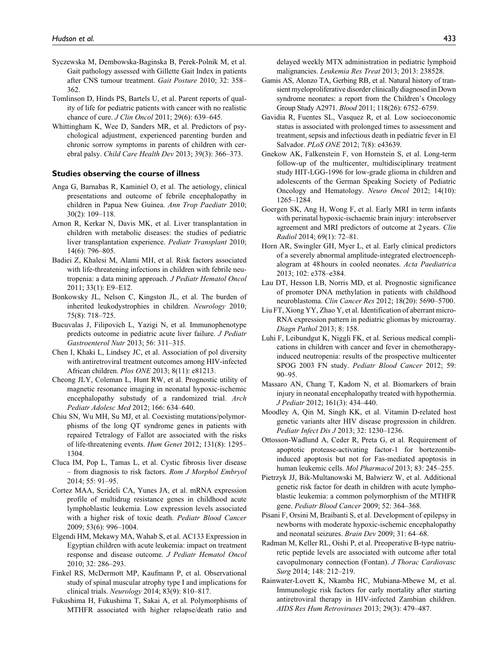- Syczewska M, Dembowska-Baginska B, Perek-Polnik M, et al. Gait pathology assessed with Gillette Gait Index in patients after CNS tumour treatment. *Gait Posture* 2010; 32: 358– 362.
- Tomlinson D, Hinds PS, Bartels U, et al. Parent reports of quality of life for pediatric patients with cancer with no realistic chance of cure. *J Clin Oncol* 2011; 29(6): 639–645.
- Whittingham K, Wee D, Sanders MR, et al. Predictors of psychological adjustment, experienced parenting burden and chronic sorrow symptoms in parents of children with cerebral palsy. *Child Care Health Dev* 2013; 39(3): 366–373.

#### **Studies observing the course of illness**

- Anga G, Barnabas R, Kaminiel O, et al. The aetiology, clinical presentations and outcome of febrile encephalopathy in children in Papua New Guinea. *Ann Trop Paediatr* 2010; 30(2): 109–118.
- Arnon R, Kerkar N, Davis MK, et al. Liver transplantation in children with metabolic diseases: the studies of pediatric liver transplantation experience. *Pediatr Transplant* 2010; 14(6): 796–805.
- Badiei Z, Khalesi M, Alami MH, et al. Risk factors associated with life-threatening infections in children with febrile neutropenia: a data mining approach. *J Pediatr Hematol Oncol* 2011; 33(1): E9–E12.
- Bonkowsky JL, Nelson C, Kingston JL, et al. The burden of inherited leukodystrophies in children. *Neurology* 2010; 75(8): 718–725.
- Bucuvalas J, Filipovich L, Yazigi N, et al. Immunophenotype predicts outcome in pediatric acute liver failure. *J Pediatr Gastroenterol Nutr* 2013; 56: 311–315.
- Chen I, Khaki L, Lindsey JC, et al. Association of pol diversity with antiretroviral treatment outcomes among HIV-infected African children. *Plos ONE* 2013; 8(11): e81213.
- Cheong JLY, Coleman L, Hunt RW, et al. Prognostic utility of magnetic resonance imaging in neonatal hypoxic-ischemic encephalopathy substudy of a randomized trial. *Arch Pediatr Adolesc Med* 2012; 166: 634–640.
- Chiu SN, Wu MH, Su MJ, et al. Coexisting mutations/polymorphisms of the long QT syndrome genes in patients with repaired Tetralogy of Fallot are associated with the risks of life-threatening events. *Hum Genet* 2012; 131(8): 1295– 1304.
- Cluca IM, Pop L, Tamas L, et al. Cystic fibrosis liver disease – from diagnosis to risk factors. *Rom J Morphol Embryol* 2014; 55: 91–95.
- Cortez MAA, Scrideli CA, Yunes JA, et al. mRNA expression profile of multidrug resistance genes in childhood acute lymphoblastic leukemia. Low expression levels associated with a higher risk of toxic death. *Pediatr Blood Cancer* 2009; 53(6): 996–1004.
- Elgendi HM, Mekawy MA, Wahab S, et al. AC133 Expression in Egyptian children with acute leukemia: impact on treatment response and disease outcome. *J Pediatr Hematol Oncol* 2010; 32: 286–293.
- Finkel RS, McDermott MP, Kaufmann P, et al. Observational study of spinal muscular atrophy type I and implications for clinical trials. *Neurology* 2014; 83(9): 810–817.
- Fukushima H, Fukushima T, Sakai A, et al. Polymorphisms of MTHFR associated with higher relapse/death ratio and

delayed weekly MTX administration in pediatric lymphoid malignancies. *Leukemia Res Treat* 2013; 2013: 238528.

- Gamis AS, Alonzo TA, Gerbing RB, et al. Natural history of transient myeloproliferative disorder clinically diagnosed in Down syndrome neonates: a report from the Children's Oncology Group Study A2971. *Blood* 2011; 118(26): 6752–6759.
- Gavidia R, Fuentes SL, Vasquez R, et al. Low socioeconomic status is associated with prolonged times to assessment and treatment, sepsis and infectious death in pediatric fever in El Salvador. *PLoS ONE* 2012; 7(8): e43639.
- Gnekow AK, Falkenstein F, von Hornstein S, et al. Long-term follow-up of the multicenter, multidisciplinary treatment study HIT-LGG-1996 for low-grade glioma in children and adolescents of the German Speaking Society of Pediatric Oncology and Hematology. *Neuro Oncol* 2012; 14(10): 1265–1284.
- Goergen SK, Ang H, Wong F, et al. Early MRI in term infants with perinatal hypoxic-ischaemic brain injury: interobserver agreement and MRI predictors of outcome at 2years. *Clin Radiol* 2014; 69(1): 72–81.
- Horn AR, Swingler GH, Myer L, et al. Early clinical predictors of a severely abnormal amplitude-integrated electroencephalogram at 48hours in cooled neonates. *Acta Paediatrica* 2013; 102: e378–e384.
- Lau DT, Hesson LB, Norris MD, et al. Prognostic significance of promoter DNA methylation in patients with childhood neuroblastoma. *Clin Cancer Res* 2012; 18(20): 5690–5700.
- Liu FT, Xiong YY, Zhao Y, et al. Identification of aberrant micro-RNA expression pattern in pediatric gliomas by microarray. *Diagn Pathol* 2013; 8: 158.
- Luhi F, Leibundgut K, Niggli FK, et al. Serious medical complications in children with cancer and fever in chemotherapyinduced neutropenia: results of the prospective multicenter SPOG 2003 FN study. *Pediatr Blood Cancer* 2012; 59: 90–95.
- Massaro AN, Chang T, Kadom N, et al. Biomarkers of brain injury in neonatal encephalopathy treated with hypothermia. *J Pediatr* 2012; 161(3): 434–440.
- Moodley A, Qin M, Singh KK, et al. Vitamin D-related host genetic variants alter HIV disease progression in children. *Pediatr Infect Dis J* 2013; 32: 1230–1236.
- Ottosson-Wadlund A, Ceder R, Preta G, et al. Requirement of apoptotic protease-activating factor-1 for bortezomibinduced apoptosis but not for Fas-mediated apoptosis in human leukemic cells. *Mol Pharmacol* 2013; 83: 245–255.
- Pietrzyk JJ, Bik-Multanowski M, Balwierz W, et al. Additional genetic risk factor for death in children with acute lymphoblastic leukemia: a common polymorphism of the MTHFR gene. *Pediatr Blood Cancer* 2009; 52: 364–368.
- Pisani F, Orsini M, Braibanti S, et al. Development of epilepsy in newborns with moderate hypoxic-ischemic encephalopathy and neonatal seizures. *Brain Dev* 2009; 31: 64–68.
- Radman M, Keller RL, Oishi P, et al. Preoperative B-type natriuretic peptide levels are associated with outcome after total cavopulmonary connection (Fontan). *J Thorac Cardiovasc Surg* 2014; 148: 212–219.
- Rainwater-Lovett K, Nkamba HC, Mubiana-Mbewe M, et al. Immunologic risk factors for early mortality after starting antiretroviral therapy in HIV-infected Zambian children. *AIDS Res Hum Retroviruses* 2013; 29(3): 479–487.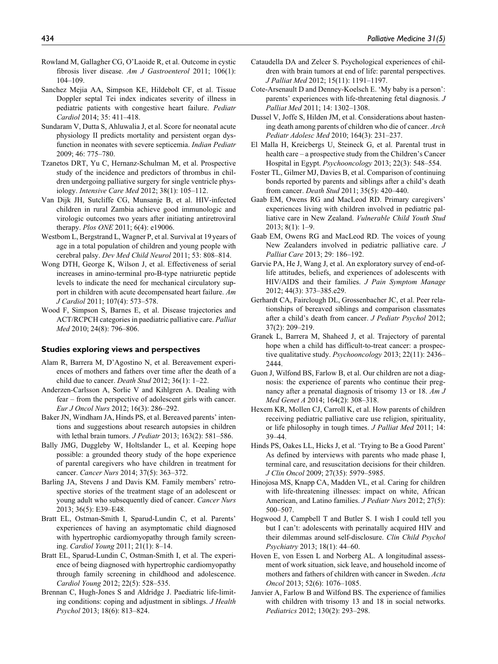- Rowland M, Gallagher CG, O'Laoide R, et al. Outcome in cystic fibrosis liver disease. *Am J Gastroenterol* 2011; 106(1): 104–109.
- Sanchez Mejia AA, Simpson KE, Hildebolt CF, et al. Tissue Doppler septal Tei index indicates severity of illness in pediatric patients with congestive heart failure. *Pediatr Cardiol* 2014; 35: 411–418.
- Sundaram V, Dutta S, Ahluwalia J, et al. Score for neonatal acute physiology II predicts mortality and persistent organ dysfunction in neonates with severe septicemia. *Indian Pediatr* 2009; 46: 775–780.
- Tzanetos DRT, Yu C, Hernanz-Schulman M, et al. Prospective study of the incidence and predictors of thrombus in children undergoing palliative surgery for single ventricle physiology. *Intensive Care Med* 2012; 38(1): 105–112.
- Van Dijk JH, Sutcliffe CG, Munsanje B, et al. HIV-infected children in rural Zambia achieve good immunologic and virologic outcomes two years after initiating antiretroviral therapy. *Plos ONE* 2011; 6(4): e19006.
- Westbom L, Bergstrand L, Wagner P, et al. Survival at 19years of age in a total population of children and young people with cerebral palsy. *Dev Med Child Neurol* 2011; 53: 808–814.
- Wong DTH, George K, Wilson J, et al. Effectiveness of serial increases in amino-terminal pro-B-type natriuretic peptide levels to indicate the need for mechanical circulatory support in children with acute decompensated heart failure. *Am J Cardiol* 2011; 107(4): 573–578.
- Wood F, Simpson S, Barnes E, et al. Disease trajectories and ACT/RCPCH categories in paediatric palliative care. *Palliat Med* 2010; 24(8): 796–806.

#### **Studies exploring views and perspectives**

- Alam R, Barrera M, D'Agostino N, et al. Bereavement experiences of mothers and fathers over time after the death of a child due to cancer. *Death Stud* 2012; 36(1): 1–22.
- Anderzen-Carlsson A, Sorlie V and Kihlgren A. Dealing with fear – from the perspective of adolescent girls with cancer. *Eur J Oncol Nurs* 2012; 16(3): 286–292.
- Baker JN, Windham JA, Hinds PS, et al. Bereaved parents' intentions and suggestions about research autopsies in children with lethal brain tumors. *J Pediatr* 2013; 163(2): 581–586.
- Bally JMG, Duggleby W, Holtslander L, et al. Keeping hope possible: a grounded theory study of the hope experience of parental caregivers who have children in treatment for cancer. *Cancer Nurs* 2014; 37(5): 363–372.
- Barling JA, Stevens J and Davis KM. Family members' retrospective stories of the treatment stage of an adolescent or young adult who subsequently died of cancer. *Cancer Nurs* 2013; 36(5): E39–E48.
- Bratt EL, Ostman-Smith I, Sparud-Lundin C, et al. Parents' experiences of having an asymptomatic child diagnosed with hypertrophic cardiomyopathy through family screening. *Cardiol Young* 2011; 21(1): 8–14.
- Bratt EL, Sparud-Lundin C, Ostman-Smith I, et al. The experience of being diagnosed with hypertrophic cardiomyopathy through family screening in childhood and adolescence. *Cardiol Young* 2012; 22(5): 528–535.
- Brennan C, Hugh-Jones S and Aldridge J. Paediatric life-limiting conditions: coping and adjustment in siblings. *J Health Psychol* 2013; 18(6): 813–824.
- Cataudella DA and Zelcer S. Psychological experiences of children with brain tumors at end of life: parental perspectives. *J Palliat Med* 2012; 15(11): 1191–1197.
- Cote-Arsenault D and Denney-Koelsch E. 'My baby is a person': parents' experiences with life-threatening fetal diagnosis. *J Palliat Med* 2011; 14: 1302–1308.
- Dussel V, Joffe S, Hilden JM, et al. Considerations about hastening death among parents of children who die of cancer. *Arch Pediatr Adolesc Med* 2010; 164(3): 231–237.
- El Malla H, Kreicbergs U, Steineck G, et al. Parental trust in health care – a prospective study from the Children's Cancer Hospital in Egypt. *Psychooncology* 2013; 22(3): 548–554.
- Foster TL, Gilmer MJ, Davies B, et al. Comparison of continuing bonds reported by parents and siblings after a child's death from cancer. *Death Stud* 2011; 35(5): 420–440.
- Gaab EM, Owens RG and MacLeod RD. Primary caregivers' experiences living with children involved in pediatric palliative care in New Zealand. *Vulnerable Child Youth Stud* 2013; 8(1): 1–9.
- Gaab EM, Owens RG and MacLeod RD. The voices of young New Zealanders involved in pediatric palliative care. *J Palliat Care* 2013; 29: 186–192.
- Garvie PA, He J, Wang J, et al. An exploratory survey of end-oflife attitudes, beliefs, and experiences of adolescents with HIV/AIDS and their families. *J Pain Symptom Manage* 2012; 44(3): 373–385.e29.
- Gerhardt CA, Fairclough DL, Grossenbacher JC, et al. Peer relationships of bereaved siblings and comparison classmates after a child's death from cancer. *J Pediatr Psychol* 2012; 37(2): 209–219.
- Granek L, Barrera M, Shaheed J, et al. Trajectory of parental hope when a child has difficult-to-treat cancer: a prospective qualitative study. *Psychooncology* 2013; 22(11): 2436– 2444.
- Guon J, Wilfond BS, Farlow B, et al. Our children are not a diagnosis: the experience of parents who continue their pregnancy after a prenatal diagnosis of trisomy 13 or 18. *Am J Med Genet A* 2014; 164(2): 308–318.
- Hexem KR, Mollen CJ, Carroll K, et al. How parents of children receiving pediatric palliative care use religion, spirituality, or life philosophy in tough times. *J Palliat Med* 2011; 14: 39–44.
- Hinds PS, Oakes LL, Hicks J, et al. 'Trying to Be a Good Parent' As defined by interviews with parents who made phase I, terminal care, and resuscitation decisions for their children. *J Clin Oncol* 2009; 27(35): 5979–5985.
- Hinojosa MS, Knapp CA, Madden VL, et al. Caring for children with life-threatening illnesses: impact on white, African American, and Latino families. *J Pediatr Nurs* 2012; 27(5): 500–507.
- Hogwood J, Campbell T and Butler S. I wish I could tell you but I can't: adolescents with perinatally acquired HIV and their dilemmas around self-disclosure. *Clin Child Psychol Psychiatry* 2013; 18(1): 44–60.
- Hoven E, von Essen L and Norberg AL. A longitudinal assessment of work situation, sick leave, and household income of mothers and fathers of children with cancer in Sweden. *Acta Oncol* 2013; 52(6): 1076–1085.
- Janvier A, Farlow B and Wilfond BS. The experience of families with children with trisomy 13 and 18 in social networks. *Pediatrics* 2012; 130(2): 293–298.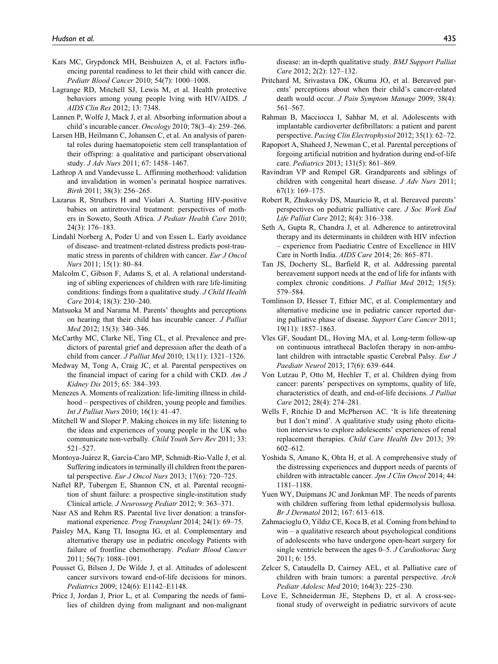- Kars MC, Grypdonck MH, Beishuizen A, et al. Factors influencing parental readiness to let their child with cancer die. *Pediatr Blood Cancer* 2010; 54(7): 1000–1008.
- Lagrange RD, Mitchell SJ, Lewis M, et al. Health protective behaviors among young people lving with HIV/AIDS. *J AIDS Clin Res* 2012; 13: 7348.
- Lannen P, Wolfe J, Mack J, et al. Absorbing information about a child's incurable cancer. *Oncology* 2010; 78(3–4): 259–266.
- Larsen HB, Heilmann C, Johansen C, et al. An analysis of parental roles during haematopoietic stem cell transplantation of their offspring: a qualitative and participant observational study. *J Adv Nurs* 2011; 67: 1458–1467.
- Lathrop A and Vandevusse L. Affirming motherhood: validation and invalidation in women's perinatal hospice narratives. *Birth* 2011; 38(3): 256–265.
- Lazarus R, Struthers H and Violari A. Starting HIV-positive babies on antiretroviral treatment: perspectives of mothers in Soweto, South Africa. *J Pediatr Health Care* 2010; 24(3): 176–183.
- Lindahl Norberg A, Poder U and von Essen L. Early avoidance of disease- and treatment-related distress predicts post-traumatic stress in parents of children with cancer. *Eur J Oncol Nurs* 2011; 15(1): 80–84.
- Malcolm C, Gibson F, Adams S, et al. A relational understanding of sibling experiences of children with rare life-limiting conditions: findings from a qualitative study. *J Child Health Care* 2014; 18(3): 230–240.
- Matsuoka M and Narama M. Parents' thoughts and perceptions on hearing that their child has incurable cancer. *J Palliat Med* 2012; 15(3): 340–346.
- McCarthy MC, Clarke NE, Ting CL, et al. Prevalence and predictors of parental grief and depression after the death of a child from cancer. *J Palliat Med* 2010; 13(11): 1321–1326.
- Medway M, Tong A, Craig JC, et al. Parental perspectives on the financial impact of caring for a child with CKD. *Am J Kidney Dis* 2015; 65: 384–393.
- Menezes A. Moments of realization: life-limiting illness in childhood – perspectives of children, young people and families. *Int J Palliat Nurs* 2010; 16(1): 41–47.
- Mitchell W and Sloper P. Making choices in my life: listening to the ideas and experiences of young people in the UK who communicate non-verbally. *Child Youth Serv Rev* 2011; 33: 521–527.
- Montoya-Juárez R, García-Caro MP, Schmidt-Rio-Valle J, et al. Suffering indicators in terminally ill children from the parental perspective. *Eur J Oncol Nurs* 2013; 17(6): 720–725.
- Naftel RP, Tubergen E, Shannon CN, et al. Parental recognition of shunt failure: a prospective single-institution study Clinical article. *J Neurosurg Pediatr* 2012; 9: 363–371.
- Nasr AS and Rehm RS. Parental live liver donation: a transformational experience. *Prog Transplant* 2014; 24(1): 69–75.
- Paisley MA, Kang TI, Insogna IG, et al. Complementary and alternative therapy use in pediatric oncology Patients with failure of frontline chemotherapy. *Pediatr Blood Cancer* 2011; 56(7): 1088–1091.
- Pousset G, Bilsen J, De Wilde J, et al. Attitudes of adolescent cancer survivors toward end-of-life decisions for minors. *Pediatrics* 2009; 124(6): E1142–E1148.
- Price J, Jordan J, Prior L, et al. Comparing the needs of families of children dying from malignant and non-malignant

disease: an in-depth qualitative study. *BMJ Support Palliat Care* 2012; 2(2): 127–132.

- Pritchard M, Srivastava DK, Okuma JO, et al. Bereaved parents' perceptions about when their child's cancer-related death would occur. *J Pain Symptom Manage* 2009; 38(4): 561–567.
- Rahman B, Macciocca I, Sahhar M, et al. Adolescents with implantable cardioverter defibrillators: a patient and parent perspective. *Pacing Clin Electrophysiol* 2012; 35(1): 62–72.
- Rapoport A, Shaheed J, Newman C, et al. Parental perceptions of forgoing artificial nutrition and hydration during end-of-life care. *Pediatrics* 2013; 131(5): 861–869.
- Ravindran VP and Rempel GR. Grandparents and siblings of children with congenital heart disease. *J Adv Nurs* 2011; 67(1): 169–175.
- Robert R, Zhukovsky DS, Mauricio R, et al. Bereaved parents' perspectives on pediatric palliative care. *J Soc Work End Life Palliat Care* 2012; 8(4): 316–338.
- Seth A, Gupta R, Chandra J, et al. Adherence to antiretroviral therapy and its determinants in children with HIV infection – experience from Paediatric Centre of Excellence in HIV Care in North India. *AIDS Care* 2014; 26: 865–871.
- Tan JS, Docherty SL, Barfield R, et al. Addressing parental bereavement support needs at the end of life for infants with complex chronic conditions. *J Palliat Med* 2012; 15(5): 579–584.
- Tomlinson D, Hesser T, Ethier MC, et al. Complementary and alternative medicine use in pediatric cancer reported during palliative phase of disease. *Support Care Cancer* 2011; 19(11): 1857–1863.
- Vles GF, Soudant DL, Hoving MA, et al. Long-term follow-up on continuous intrathecal Baclofen therapy in non-ambulant children with intractable spastic Cerebral Palsy. *Eur J Paediatr Neurol* 2013; 17(6): 639–644.
- Von Lutzau P, Otto M, Hechler T, et al. Children dying from cancer: parents' perspectives on symptoms, quality of life, characteristics of death, and end-of-life decisions. *J Palliat Care* 2012; 28(4): 274–281.
- Wells F, Ritchie D and McPherson AC. 'It is life threatening but I don't mind'. A qualitative study using photo elicitation interviews to explore adolescents' experiences of renal replacement therapies. *Child Care Health Dev* 2013; 39: 602–612.
- Yoshida S, Amano K, Ohta H, et al. A comprehensive study of the distressing experiences and dupport needs of parents of children with intractable cancer. *Jpn J Clin Oncol* 2014; 44: 1181–1188.
- Yuen WY, Duipmans JC and Jonkman MF. The needs of parents with children suffering from lethal epidermolysis bullosa. *Br J Dermatol* 2012; 167: 613–618.
- Zahmacioglu O, Yildiz CE, Koca B, et al. Coming from behind to win – a qualitative research about psychological conditions of adolescents who have undergone open-heart surgery for single ventricle between the ages 0–5. *J Cardiothorac Surg* 2011; 6: 155.
- Zelcer S, Cataudella D, Cairney AEL, et al. Palliative care of children with brain tumors: a parental perspective. *Arch Pediatr Adolesc Med* 2010; 164(3): 225–230.
- Love E, Schneiderman JE, Stephens D, et al. A cross-sectional study of overweight in pediatric survivors of acute